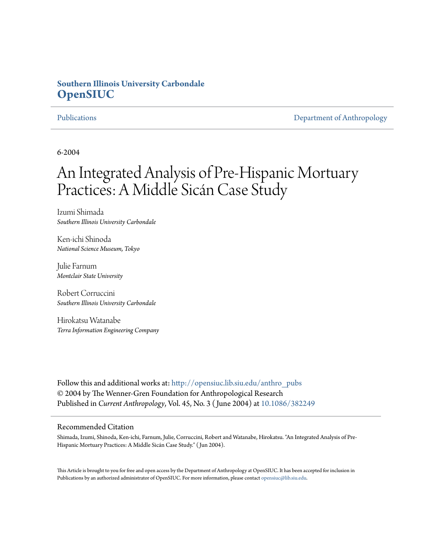# **Southern Illinois University Carbondale [OpenSIUC](http://opensiuc.lib.siu.edu?utm_source=opensiuc.lib.siu.edu%2Fanthro_pubs%2F8&utm_medium=PDF&utm_campaign=PDFCoverPages)**

[Publications](http://opensiuc.lib.siu.edu/anthro_pubs?utm_source=opensiuc.lib.siu.edu%2Fanthro_pubs%2F8&utm_medium=PDF&utm_campaign=PDFCoverPages) **[Department of Anthropology](http://opensiuc.lib.siu.edu/anthro?utm_source=opensiuc.lib.siu.edu%2Fanthro_pubs%2F8&utm_medium=PDF&utm_campaign=PDFCoverPages)** 

6-2004

# An Integrated Analysis of Pre-Hispanic Mortuary Practices: A Middle Sicán Case Study

Izumi Shimada *Southern Illinois University Carbondale*

Ken-ichi Shinoda *National Science Museum, Tokyo*

Julie Farnum *Montclair State University*

Robert Corruccini *Southern Illinois University Carbondale*

Hirokatsu Watanabe *Terra Information Engineering Company*

Follow this and additional works at: [http://opensiuc.lib.siu.edu/anthro\\_pubs](http://opensiuc.lib.siu.edu/anthro_pubs?utm_source=opensiuc.lib.siu.edu%2Fanthro_pubs%2F8&utm_medium=PDF&utm_campaign=PDFCoverPages) © 2004 by The Wenner‐Gren Foundation for Anthropological Research Published in *Current Anthropology*, Vol. 45, No. 3 ( June 2004) at [10.1086/382249](http://dx.doi.org/10.1086/382249)

#### Recommended Citation

Shimada, Izumi, Shinoda, Ken-ichi, Farnum, Julie, Corruccini, Robert and Watanabe, Hirokatsu. "An Integrated Analysis of Pre-Hispanic Mortuary Practices: A Middle Sicán Case Study." ( Jun 2004).

This Article is brought to you for free and open access by the Department of Anthropology at OpenSIUC. It has been accepted for inclusion in Publications by an authorized administrator of OpenSIUC. For more information, please contact [opensiuc@lib.siu.edu](mailto:opensiuc@lib.siu.edu).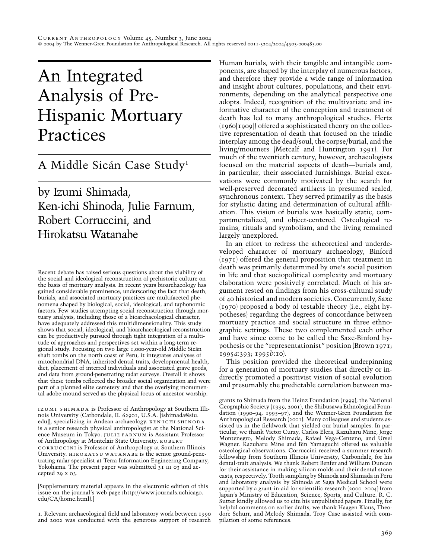# An Integrated Analysis of Pre-Hispanic Mortuary Practices

A Middle Sicán Case Study<sup>1</sup>

by Izumi Shimada, Ken-ichi Shinoda, Julie Farnum, Robert Corruccini, and Hirokatsu Watanabe

Recent debate has raised serious questions about the viability of the social and ideological reconstruction of prehistoric culture on the basis of mortuary analysis. In recent years bioarchaeology has gained considerable prominence, underscoring the fact that death, burials, and associated mortuary practices are multifaceted phenomena shaped by biological, social, ideological, and taphonomic factors. Few studies attempting social reconstruction through mortuary analysis, including those of a bioarchaeological character, have adequately addressed this multidimensionality. This study shows that social, ideological, and bioarchaeological reconstruction can be productively pursued through tight integration of a multitude of approaches and perspectives set within a long-term regional study. Focusing on two large 1,000-year-old Middle Sicán shaft tombs on the north coast of Peru, it integrates analyses of mitochondrial DNA, inherited dental traits, developmental health, diet, placement of interred individuals and associated grave goods, and data from ground-penetrating radar surveys. Overall it shows that these tombs reflected the broader social organization and were part of a planned elite cemetery and that the overlying monumental adobe mound served as the physical focus of ancestor worship.

izumi shimada is Professor of Anthropology at Southern Illinois University (Carbondale, IL 62901, U.S.A. [ishimada@siu. edu]), specializing in Andean archaeology. KEN-ICHI SHINODA is a senior research physical anthropologist at the National Science Museum in Tokyo. julie farnum is Assistant Professor of Anthropology at Montclair State University. ROBERT corruccini is Professor of Anthropology at Southern Illinois University. HIROKATSU WATANABE is the senior ground-penetrating-radar specialist at Terra Information Engineering Company, Yokohama. The present paper was submitted 31 III 03 and accepted 29 x 03.

[Supplementary material appears in the electronic edition of this issue on the journal's web page (http://www.journals.uchicago. edu/CA/home.html).]

1. Relevant archaeological field and laboratory work between 1990 and 2002 was conducted with the generous support of research Human burials, with their tangible and intangible components, are shaped by the interplay of numerous factors, and therefore they provide a wide range of information and insight about cultures, populations, and their environments, depending on the analytical perspective one adopts. Indeed, recognition of the multivariate and informative character of the conception and treatment of death has led to many anthropological studies. Hertz (1960[1909]) offered a sophisticated theory on the collective representation of death that focused on the triadic interplay among the dead/soul, the corpse/burial, and the living/mourners (Metcalf and Huntington 1991). For much of the twentieth century, however, archaeologists focused on the material aspects of death—burials and, in particular, their associated furnishings. Burial excavations were commonly motivated by the search for well-preserved decorated artifacts in presumed sealed, synchronous context. They served primarily as the basis for stylistic dating and determination of cultural affiliation. This vision of burials was basically static, compartmentalized, and object-centered. Osteological remains, rituals and symbolism, and the living remained largely unexplored.

In an effort to redress the atheoretical and underdeveloped character of mortuary archaeology, Binford (1971) offered the general proposition that treatment in death was primarily determined by one's social position in life and that sociopolitical complexity and mortuary elaboration were positively correlated. Much of his argument rested on findings from his cross-cultural study of 40 historical and modern societies. Concurrently, Saxe (1970) proposed a body of testable theory (i.e., eight hypotheses) regarding the degrees of concordance between mortuary practice and social structure in three ethnographic settings. These two complemented each other and have since come to be called the Saxe-Binford hypothesis or the "representationist" position (Brown 1971; 1995*a*:393; 1995*b*:10).

This position provided the theoretical underpinning for a generation of mortuary studies that directly or indirectly promoted a positivist vision of social evolution and presumably the predictable correlation between ma-

grants to Shimada from the Heinz Foundation (1999), the National Geographic Society (1999, 2001), the Shibusawa Ethnological Foundation (1990–94, 1995–97), and the Wenner-Gren Foundation for Anthropological Research (2001). Many colleagues and students assisted us in the fieldwork that yielded our burial samples. In particular, we thank Victor Curay, Carlos Elera, Kazuharu Mine, Jorge Montenegro, Melody Shimada, Rafael Vega-Centeno, and Ursel Wagner. Kazuharu Mine and Bin Yamaguchi offered us valuable osteological observations. Corruccini received a summer research fellowship from Southern Illinois University, Carbondale, for his dental-trait analysis. We thank Robert Benfer and William Duncan for their assistance in making silicon molds and their dental stone casts, respectively. Tooth sampling by Shinoda and Shimada in Peru and laboratory analysis by Shinoda at Saga Medical School were supported by a grant-in-aid for scientific research (2000–2004) from Japan's Ministry of Education, Science, Sports, and Culture. R. C. Sutter kindly allowed us to cite his unpublished papers. Finally, for helpful comments on earlier drafts, we thank Haagen Klaus, Theodore Schurr, and Melody Shimada. Troy Case assisted with compilation of some references.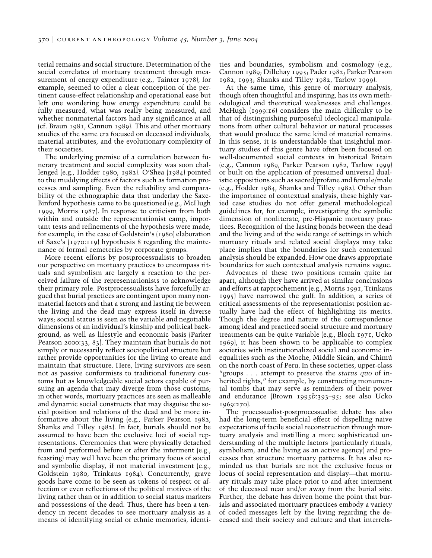terial remains and social structure. Determination of the social correlates of mortuary treatment through measurement of energy expenditure (e.g., Tainter 1978), for example, seemed to offer a clear conception of the pertinent cause-effect relationship and operational ease but left one wondering how energy expenditure could be fully measured, what was really being measured, and whether nonmaterial factors had any significance at all (cf. Braun 1981, Cannon 1989). This and other mortuary studies of the same era focused on deceased individuals, material attributes, and the evolutionary complexity of their societies.

The underlying premise of a correlation between funerary treatment and social complexity was soon challenged (e.g., Hodder 1980, 1982). O'Shea (1984) pointed to the muddying effects of factors such as formation processes and sampling. Even the reliability and comparability of the ethnographic data that underlay the Saxe-Binford hypothesis came to be questioned (e.g., McHugh 1999, Morris 1987). In response to criticism from both within and outside the representationist camp, important tests and refinements of the hypothesis were made, for example, in the case of Goldstein's (1980) elaboration of Saxe's (1970:119) hypothesis 8 regarding the maintenance of formal cemeteries by corporate groups.

More recent efforts by postprocessualists to broaden our perspective on mortuary practices to encompass rituals and symbolism are largely a reaction to the perceived failure of the representationists to acknowledge their primary role. Postprocessualists have forcefully argued that burial practices are contingent upon many nonmaterial factors and that a strong and lasting tie between the living and the dead may express itself in diverse ways; social status is seen as the variable and negotiable dimensions of an individual's kinship and political background, as well as lifestyle and economic basis (Parker Pearson 2000:33, 83). They maintain that burials do not simply or necessarily reflect sociopolitical structure but rather provide opportunities for the living to create and maintain that structure. Here, living survivors are seen not as passive conformists to traditional funerary customs but as knowledgeable social actors capable of pursuing an agenda that may diverge from those customs; in other words, mortuary practices are seen as malleable and dynamic social constructs that may disguise the social position and relations of the dead and be more informative about the living (e.g., Parker Pearson 1982, Shanks and Tilley 1982). In fact, burials should not be assumed to have been the exclusive loci of social representations. Ceremonies that were physically detached from and performed before or after the interment (e.g., feasting) may well have been the primary focus of social and symbolic display, if not material investment (e.g., Goldstein 1980, Trinkaus 1984). Concurrently, grave goods have come to be seen as tokens of respect or affection or even reflections of the political motives of the living rather than or in addition to social status markers and possessions of the dead. Thus, there has been a tendency in recent decades to see mortuary analysis as a means of identifying social or ethnic memories, identities and boundaries, symbolism and cosmology (e.g., Cannon 1989; Dillehay 1995; Pader 1982; Parker Pearson 1982, 1993; Shanks and Tilley 1982, Tarlow 1999).

At the same time, this genre of mortuary analysis, though often thoughtful and inspiring, has its own methodological and theoretical weaknesses and challenges. McHugh (1999:16) considers the main difficulty to be that of distinguishing purposeful ideological manipulations from other cultural behavior or natural processes that would produce the same kind of material remains. In this sense, it is understandable that insightful mortuary studies of this genre have often been focused on well-documented social contexts in historical Britain (e.g., Cannon 1989, Parker Pearson 1982, Tarlow 1999) or built on the application of presumed universal dualistic oppositions such as sacred/profane and female/male (e.g., Hodder 1984, Shanks and Tilley 1982). Other than the importance of contextual analysis, these highly varied case studies do not offer general methodological guidelines for, for example, investigating the symbolic dimension of nonliterate, pre-Hispanic mortuary practices. Recognition of the lasting bonds between the dead and the living and of the wide range of settings in which mortuary rituals and related social displays may take place implies that the boundaries for such contextual analysis should be expanded. How one draws appropriate boundaries for such contextual analysis remains vague.

Advocates of these two positions remain quite far apart, although they have arrived at similar conclusions and efforts at rapprochement (e.g., Morris 1991, Trinkaus 1995) have narrowed the gulf. In addition, a series of critical assessments of the representationist position actually have had the effect of highlighting its merits. Though the degree and nature of the correspondence among ideal and practiced social structure and mortuary treatments can be quite variable (e.g., Bloch 1971, Ucko 1969), it has been shown to be applicable to complex societies with institutionalized social and economic inequalities such as the Moche, Middle Sicán, and Chimú on the north coast of Peru. In these societies, upper-class "groups . . . attempt to preserve the *status quo* of inherited rights," for example, by constructing monumental tombs that may serve as reminders of their power and endurance (Brown 1995*b*:393–95; see also Ucko 1969:270).

The processualist-postprocessualist debate has also had the long-term beneficial effect of dispelling naive expectations of facile social reconstruction through mortuary analysis and instilling a more sophisticated understanding of the multiple factors (particularly rituals, symbolism, and the living as an active agency) and processes that structure mortuary patterns. It has also reminded us that burials are not the exclusive focus or locus of social representation and display—that mortuary rituals may take place prior to and after interment of the deceased near and/or away from the burial site. Further, the debate has driven home the point that burials and associated mortuary practices embody a variety of coded messages left by the living regarding the deceased and their society and culture and that interrela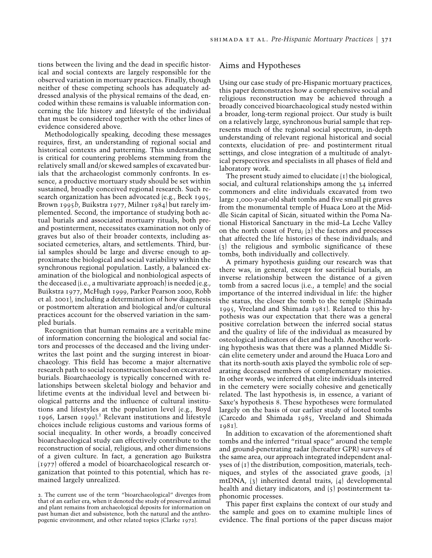tions between the living and the dead in specific historical and social contexts are largely responsible for the observed variation in mortuary practices. Finally, though neither of these competing schools has adequately addressed analysis of the physical remains of the dead, encoded within these remains is valuable information concerning the life history and lifestyle of the individual that must be considered together with the other lines of evidence considered above.

Methodologically speaking, decoding these messages requires, first, an understanding of regional social and historical contexts and patterning. This understanding is critical for countering problems stemming from the relatively small and/or skewed samples of excavated burials that the archaeologist commonly confronts. In essence, a productive mortuary study should be set within sustained, broadly conceived regional research. Such research organization has been advocated (e.g., Beck 1995, Brown 1995*b*, Buikstra 1977, Milner 1984) but rarely implemented. Second, the importance of studying both actual burials and associated mortuary rituals, both preand postinterment, necessitates examination not only of graves but also of their broader contexts, including associated cemeteries, altars, and settlements. Third, burial samples should be large and diverse enough to approximate the biological and social variability within the synchronous regional population. Lastly, a balanced examination of the biological and nonbiological aspects of the deceased (i.e., a multivariate approach) is needed (e.g., Buikstra 1977, McHugh 1999, Parker Pearson 2000, Robb et al. 2001), including a determination of how diagenesis or postmortem alteration and biological and/or cultural practices account for the observed variation in the sampled burials.

Recognition that human remains are a veritable mine of information concerning the biological and social factors and processes of the deceased and the living underwrites the last point and the surging interest in bioarchaeology. This field has become a major alternative research path to social reconstruction based on excavated burials. Bioarchaeology is typically concerned with relationships between skeletal biology and behavior and lifetime events at the individual level and between biological patterns and the influence of cultural institutions and lifestyles at the population level (e.g., Boyd 1996, Larsen 1999).2 Relevant institutions and lifestyle choices include religious customs and various forms of social inequality. In other words, a broadly conceived bioarchaeological study can effectively contribute to the reconstruction of social, religious, and other dimensions of a given culture. In fact, a generation ago Buikstra (1977) offered a model of bioarchaeological research organization that pointed to this potential, which has remained largely unrealized.

#### Aims and Hypotheses

Using our case study of pre-Hispanic mortuary practices, this paper demonstrates how a comprehensive social and religious reconstruction may be achieved through a broadly conceived bioarchaeological study nested within a broader, long-term regional project. Our study is built on a relatively large, synchronous burial sample that represents much of the regional social spectrum, in-depth understanding of relevant regional historical and social contexts, elucidation of pre- and postinterment ritual settings, and close integration of a multitude of analytical perspectives and specialists in all phases of field and laboratory work.

The present study aimed to elucidate (1) the biological, social, and cultural relationships among the 34 inferred commoners and elite individuals excavated from two large 1,000-year-old shaft tombs and five small pit graves from the monumental temple of Huaca Loro at the Middle Sicán capital of Sicán, situated within the Poma National Historical Sanctuary in the mid–La Leche Valley on the north coast of Peru; (2) the factors and processes that affected the life histories of these individuals; and (3) the religious and symbolic significance of these tombs, both individually and collectively.

A primary hypothesis guiding our research was that there was, in general, except for sacrificial burials, an inverse relationship between the distance of a given tomb from a sacred locus (i.e., a temple) and the social importance of the interred individual in life: the higher the status, the closer the tomb to the temple (Shimada 1995, Vreeland and Shimada 1981). Related to this hypothesis was our expectation that there was a general positive correlation between the inferred social status and the quality of life of the individual as measured by osteological indicators of diet and health. Another working hypothesis was that there was a planned Middle Sicán elite cemetery under and around the Huaca Loro and that its north-south axis played the symbolic role of separating deceased members of complementary moieties. In other words, we inferred that elite individuals interred in the cemetery were socially cohesive and genetically related. The last hypothesis is, in essence, a variant of Saxe's hypothesis 8. These hypotheses were formulated largely on the basis of our earlier study of looted tombs (Carcedo and Shimada 1985, Vreeland and Shimada 1981).

In addition to excavation of the aforementioned shaft tombs and the inferred "ritual space" around the temple and ground-penetrating radar (hereafter GPR) surveys of the same area, our approach integrated independent analyses of  $(I)$  the distribution, composition, materials, techniques, and styles of the associated grave goods, (2) mtDNA, (3) inherited dental traits, (4) developmental health and dietary indicators, and (5) postinterment taphonomic processes.

This paper first explains the context of our study and the sample and goes on to examine multiple lines of evidence. The final portions of the paper discuss major

<sup>2.</sup> The current use of the term "bioarchaeological" diverges from that of an earlier era, when it denoted the study of preserved animal and plant remains from archaeological deposits for information on past human diet and subsistence, both the natural and the anthropogenic environment, and other related topics (Clarke 1972).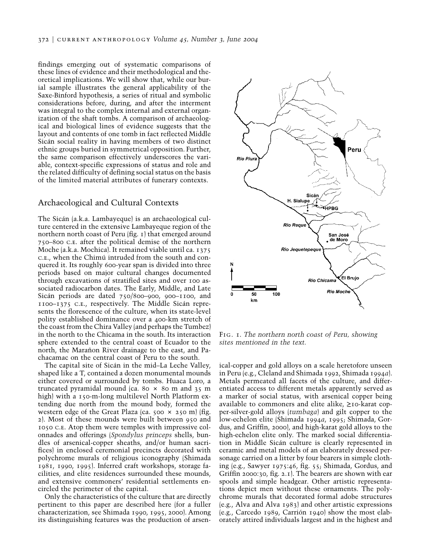findings emerging out of systematic comparisons of these lines of evidence and their methodological and theoretical implications. We will show that, while our burial sample illustrates the general applicability of the Saxe-Binford hypothesis, a series of ritual and symbolic considerations before, during, and after the interment was integral to the complex internal and external organization of the shaft tombs. A comparison of archaeological and biological lines of evidence suggests that the layout and contents of one tomb in fact reflected Middle Sicán social reality in having members of two distinct ethnic groups buried in symmetrical opposition. Further, the same comparison effectively underscores the variable, context-specific expressions of status and role and the related difficulty of defining social status on the basis of the limited material attributes of funerary contexts.

#### Archaeological and Cultural Contexts

The Sicán (a.k.a. Lambayeque) is an archaeological culture centered in the extensive Lambayeque region of the northern north coast of Peru (fig. 1) that emerged around 750–800 c.e. after the political demise of the northern Moche (a.k.a. Mochica). It remained viable until ca. 1375 c.e., when the Chimu´ intruded from the south and conquered it. Its roughly 600-year span is divided into three periods based on major cultural changes documented through excavations of stratified sites and over 100 associated radiocarbon dates. The Early, Middle, and Late Sicán periods are dated 750/800-900, 900-1100, and 1100–1375 C.E., respectively. The Middle Sicán represents the florescence of the culture, when its state-level polity established dominance over a 400-km stretch of the coast from the Chira Valley (and perhaps the Tumbez) in the north to the Chicama in the south. Its interaction sphere extended to the central coast of Ecuador to the north, the Marañon River drainage to the east, and Pachacamac on the central coast of Peru to the south.

The capital site of Sicán in the mid–La Leche Valley, shaped like a T, contained a dozen monumental mounds either covered or surrounded by tombs. Huaca Loro, a truncated pyramidal mound (ca. 80  $\times$  80 m and 35 m high) with a 150-m-long multilevel North Platform extending due north from the mound body, formed the western edge of the Great Plaza (ca. 500  $\times$  250 m) (fig. 2). Most of these mounds were built between 950 and 1050 c.e. Atop them were temples with impressive colonnades and offerings (*Spondylus princeps* shells, bundles of arsenical-copper sheaths, and/or human sacrifices) in enclosed ceremonial precincts decorated with polychrome murals of religious iconography (Shimada 1981, 1990, 1995). Inferred craft workshops, storage facilities, and elite residences surrounded these mounds, and extensive commoners' residential settlements encircled the perimeter of the capital.

Only the characteristics of the culture that are directly pertinent to this paper are described here (for a fuller characterization, see Shimada 1990, 1995, 2000). Among its distinguishing features was the production of arsen-



Fig. 1. *The northern north coast of Peru, showing sites mentioned in the text.*

ical-copper and gold alloys on a scale heretofore unseen in Peru (e.g., Cleland and Shimada 1992, Shimada 1994*a*). Metals permeated all facets of the culture, and differentiated access to different metals apparently served as a marker of social status, with arsenical copper being available to commoners and elite alike, ≥10-karat copper-silver-gold alloys (*tumbaga*) and gilt copper to the low-echelon elite (Shimada 1994*a*, 1995; Shimada, Gordus, and Griffin, 2000), and high-karat gold alloys to the high-echelon elite only. The marked social differentiation in Middle Sicán culture is clearly represented in ceramic and metal models of an elaborately dressed personage carried on a litter by four bearers in simple clothing (e.g., Sawyer 1975:46, fig. 55; Shimada, Gordus, and Griffin 2000:30, fig. 2.1). The bearers are shown with ear spools and simple headgear. Other artistic representations depict men without these ornaments. The polychrome murals that decorated formal adobe structures (e.g., Alva and Alva 1983) and other artistic expressions  $(e.g., Carcedo<sub>1989</sub>, Carrión<sub>1940</sub>) show the most elabor$ orately attired individuals largest and in the highest and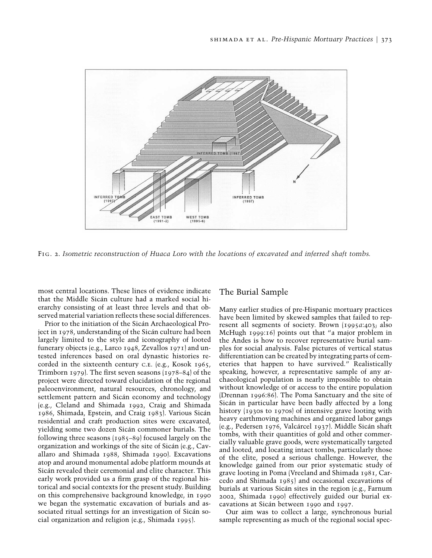

Fig. 2. *Isometric reconstruction of Huaca Loro with the locations of excavated and inferred shaft tombs.*

most central locations. These lines of evidence indicate that the Middle Sicán culture had a marked social hierarchy consisting of at least three levels and that observed material variation reflects these social differences.

Prior to the initiation of the Sicán Archaeological Project in 1978, understanding of the Sicán culture had been largely limited to the style and iconography of looted funerary objects (e.g., Larco 1948, Zevallos 1971) and untested inferences based on oral dynastic histories recorded in the sixteenth century c.e. (e.g., Kosok 1965, Trimborn 1979). The first seven seasons (1978–84) of the project were directed toward elucidation of the regional paleoenvironment, natural resources, chronology, and settlement pattern and Sicán economy and technology (e.g., Cleland and Shimada 1992, Craig and Shimada 1986, Shimada, Epstein, and Craig 1983). Various Sicán residential and craft production sites were excavated, yielding some two dozen Sicán commoner burials. The following three seasons (1985–89) focused largely on the organization and workings of the site of Sicán (e.g., Cavallaro and Shimada 1988, Shimada 1990). Excavations atop and around monumental adobe platform mounds at Sicán revealed their ceremonial and elite character. This early work provided us a firm grasp of the regional historical and social contexts for the present study. Building on this comprehensive background knowledge, in 1990 we began the systematic excavation of burials and associated ritual settings for an investigation of Sicán social organization and religion (e.g., Shimada 1995).

### The Burial Sample

Many earlier studies of pre-Hispanic mortuary practices have been limited by skewed samples that failed to represent all segments of society. Brown (1995*a*:403; also McHugh 1999:16) points out that "a major problem in the Andes is how to recover representative burial samples for social analysis. False pictures of vertical status differentiation can be created by integrating parts of cemeteries that happen to have survived." Realistically speaking, however, a representative sample of any archaeological population is nearly impossible to obtain without knowledge of or access to the entire population (Drennan 1996:86). The Poma Sanctuary and the site of Sicán in particular have been badly affected by a long history (1930s to 1970s) of intensive grave looting with heavy earthmoving machines and organized labor gangs (e.g., Pedersen 1976, Valcárcel 1937). Middle Sicán shaft tombs, with their quantities of gold and other commercially valuable grave goods, were systematically targeted and looted, and locating intact tombs, particularly those of the elite, posed a serious challenge. However, the knowledge gained from our prior systematic study of grave looting in Poma (Vreeland and Shimada 1981, Carcedo and Shimada 1985) and occasional excavations of burials at various Sicán sites in the region (e.g., Farnum 2002, Shimada 1990) effectively guided our burial excavations at Sicán between 1990 and 1997.

Our aim was to collect a large, synchronous burial sample representing as much of the regional social spec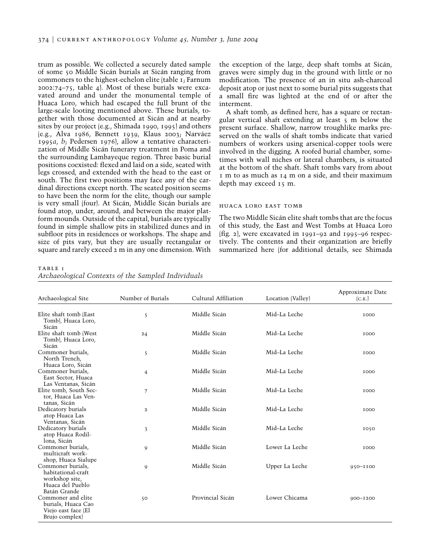trum as possible. We collected a securely dated sample of some 50 Middle Sicán burials at Sicán ranging from commoners to the highest-echelon elite (table 1; Farnum 2002:74–75, table 4). Most of these burials were excavated around and under the monumental temple of Huaca Loro, which had escaped the full brunt of the large-scale looting mentioned above. These burials, together with those documented at Sicán and at nearby sites by our project (e.g., Shimada 1990, 1995) and others (e.g., Alva 1986, Bennett 1939, Klaus 2003; Narváez 1995*a*, *b*; Pedersen 1976), allow a tentative characterization of Middle Sicán funerary treatment in Poma and the surrounding Lambayeque region. Three basic burial positions coexisted: flexed and laid on a side, seated with legs crossed, and extended with the head to the east or south. The first two positions may face any of the cardinal directions except north. The seated position seems to have been the norm for the elite, though our sample is very small (four). At Sicán, Middle Sicán burials are found atop, under, around, and between the major platform mounds. Outside of the capital, burials are typically found in simple shallow pits in stabilized dunes and in subfloor pits in residences or workshops. The shape and size of pits vary, but they are usually rectangular or square and rarely exceed 2 m in any one dimension. With

the exception of the large, deep shaft tombs at Sicán, graves were simply dug in the ground with little or no modification. The presence of an in situ ash-charcoal deposit atop or just next to some burial pits suggests that a small fire was lighted at the end of or after the interment.

A shaft tomb, as defined here, has a square or rectangular vertical shaft extending at least 5 m below the present surface. Shallow, narrow troughlike marks preserved on the walls of shaft tombs indicate that varied numbers of workers using arsenical-copper tools were involved in the digging. A roofed burial chamber, sometimes with wall niches or lateral chambers, is situated at the bottom of the shaft. Shaft tombs vary from about 1 m to as much as 14 m on a side, and their maximum depth may exceed 15 m.

#### huaca loro east tomb

The two Middle Sicán elite shaft tombs that are the focus of this study, the East and West Tombs at Huaca Loro (fig. 2), were excavated in  $1991-92$  and  $1995-96$  respectively. The contents and their organization are briefly summarized here (for additional details, see Shimada

#### TABLE I

| Archaeological Contexts of the Sampled Individuals |  |  |  |  |  |  |  |
|----------------------------------------------------|--|--|--|--|--|--|--|
|----------------------------------------------------|--|--|--|--|--|--|--|

| Archaeological Site                                                                              | Number of Burials | Cultural Affiliation | Location (Valley) | Approximate Date<br>(C.E.) |
|--------------------------------------------------------------------------------------------------|-------------------|----------------------|-------------------|----------------------------|
| Elite shaft tomb (East<br>Tomb), Huaca Loro,<br>Sicán                                            | 5                 | Middle Sicán         | Mid-La Leche      | <b>IOOO</b>                |
| Elite shaft tomb (West<br>Tomb), Huaca Loro,<br>Sicán                                            | 24                | Middle Sicán         | Mid-La Leche      | <b>IOOO</b>                |
| Commoner burials,<br>North Trench,<br>Huaca Loro, Sicán                                          | 5                 | Middle Sicán         | Mid-La Leche      | <b>IOOO</b>                |
| Commoner burials,<br>East Sector, Huaca<br>Las Ventanas, Sicán                                   | $\overline{4}$    | Middle Sicán         | Mid-La Leche      | <b>IOOO</b>                |
| Elite tomb, South Sec-<br>tor, Huaca Las Ven-                                                    | 7                 | Middle Sicán         | Mid-La Leche      | <b>IOOO</b>                |
| tanas, Sicán<br>Dedicatory burials<br>atop Huaca Las                                             | $\mathbf{2}$      | Middle Sicán         | Mid-La Leche      | <b>IOOO</b>                |
| Ventanas, Sicán<br>Dedicatory burials<br>atop Huaca Rodil-<br>lona, Sicán                        | 3                 | Middle Sicán         | Mid-La Leche      | 1050                       |
| Commoner burials,<br>multicraft work-<br>shop, Huaca Sialupe                                     | 9                 | Middle Sicán         | Lower La Leche    | <b>IOOO</b>                |
| Commoner burials,<br>habitational-craft<br>workshop site,<br>Huaca del Pueblo                    | 9                 | Middle Sicán         | Upper La Leche    | 950-1100                   |
| Batán Grande<br>Commoner and elite<br>burials, Huaca Cao<br>Viejo east face (El<br>Brujo complex | 50                | Provincial Sicán     | Lower Chicama     | $900 - 1200$               |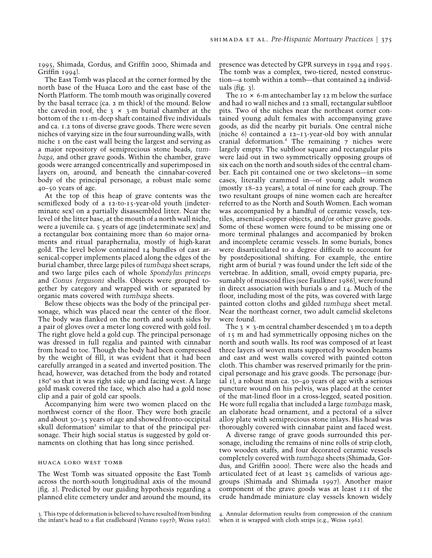1995, Shimada, Gordus, and Griffin 2000, Shimada and Griffin 1994).

The East Tomb was placed at the corner formed by the north base of the Huaca Loro and the east base of the North Platform. The tomb mouth was originally covered by the basal terrace (ca. 2 m thick) of the mound. Below the caved-in roof, the  $3 \times 3$ -m burial chamber at the bottom of the 11-m-deep shaft contained five individuals and ca. 1.2 tons of diverse grave goods. There were seven niches of varying size in the four surrounding walls, with niche 1 on the east wall being the largest and serving as a major repository of semiprecious stone beads, *tumbaga*, and other grave goods. Within the chamber, grave goods were arranged concentrically and superimposed in layers on, around, and beneath the cinnabar-covered body of the principal personage, a robust male some 40–50 years of age.

At the top of this heap of grave contents was the semiflexed body of a 12-to-15-year-old youth (indeterminate sex) on a partially disassembled litter. Near the level of the litter base, at the mouth of a north wall niche, were a juvenile ca. 5 years of age (indeterminate sex) and a rectangular box containing more than 60 major ornaments and ritual paraphernalia, mostly of high-karat gold. The level below contained 14 bundles of cast arsenical-copper implements placed along the edges of the burial chamber, three large piles of *tumbaga* sheet scraps, and two large piles each of whole *Spondylus princeps* and *Conus fergusoni* shells. Objects were grouped together by category and wrapped with or separated by organic mats covered with *tumbaga* sheets.

Below these objects was the body of the principal personage, which was placed near the center of the floor. The body was flanked on the north and south sides by a pair of gloves over a meter long covered with gold foil. The right glove held a gold cup. The principal personage was dressed in full regalia and painted with cinnabar from head to toe. Though the body had been compressed by the weight of fill, it was evident that it had been carefully arranged in a seated and inverted position. The head, however, was detached from the body and rotated 180° so that it was right side up and facing west. A large gold mask covered the face, which also had a gold nose clip and a pair of gold ear spools.

Accompanying him were two women placed on the northwest corner of the floor. They were both gracile and about 30–35 years of age and showed fronto-occipital skull deformation<sup>3</sup> similar to that of the principal personage. Their high social status is suggested by gold ornaments on clothing that has long since perished.

#### huaca loro west tomb

The West Tomb was situated opposite the East Tomb across the north-south longitudinal axis of the mound (fig. 2). Predicted by our guiding hypothesis regarding a planned elite cemetery under and around the mound, its presence was detected by GPR surveys in 1994 and 1995. The tomb was a complex, two-tiered, nested construction—a tomb within a tomb—that contained 24 individuals  $(fig. 3)$ .

The 10  $\times$  6-m antechamber lay 12 m below the surface and had 10 wall niches and 12 small, rectangular subfloor pits. Two of the niches near the northeast corner contained young adult females with accompanying grave goods, as did the nearby pit burials. One central niche (niche 6) contained a 12–13-year-old boy with annular cranial deformation.4 The remaining 7 niches were largely empty. The subfloor square and rectangular pits were laid out in two symmetrically opposing groups of six each on the north and south sides of the central chamber. Each pit contained one or two skeletons—in some cases, literally crammed in—of young adult women (mostly 18–22 years), a total of nine for each group. The two resultant groups of nine women each are hereafter referred to as the North and South Women. Each woman was accompanied by a handful of ceramic vessels, textiles, arsenical-copper objects, and/or other grave goods. Some of these women were found to be missing one or more terminal phalanges and accompanied by broken and incomplete ceramic vessels. In some burials, bones were disarticulated to a degree difficult to account for by postdepositional shifting. For example, the entire right arm of burial 7 was found under the left side of the vertebrae. In addition, small, ovoid empty puparia, presumably of muscoid flies (see Faulkner 1986), were found in direct association with burials 9 and 14. Much of the floor, including most of the pits, was covered with large painted cotton cloths and gilded *tumbaga* sheet metal. Near the northeast corner, two adult camelid skeletons were found.

The 3  $\times$  3-m central chamber descended 3 m to a depth of 15 m and had symmetrically opposing niches on the north and south walls. Its roof was composed of at least three layers of woven mats supported by wooden beams and east and west walls covered with painted cotton cloth. This chamber was reserved primarily for the principal personage and his grave goods. The personage (burial  $I$ , a robust man ca. 30–40 years of age with a serious puncture wound on his pelvis, was placed at the center of the mat-lined floor in a cross-legged, seated position. He wore full regalia that included a large *tumbaga* mask, an elaborate head ornament, and a pectoral of a silver alloy plate with semiprecious stone inlays. His head was thoroughly covered with cinnabar paint and faced west.

A diverse range of grave goods surrounded this personage, including the remains of nine rolls of strip cloth, two wooden staffs, and four decorated ceramic vessels completely covered with *tumbaga* sheets (Shimada, Gordus, and Griffin 2000). There were also the heads and articulated feet of at least 25 camelids of various agegroups (Shimada and Shimada 1997). Another major component of the grave goods was at least 111 of the crude handmade miniature clay vessels known widely

<sup>3.</sup> This type of deformation is believed to have resulted from binding the infant's head to a flat cradleboard (Verano 1997*b*, Weiss 1962).

<sup>4.</sup> Annular deformation results from compression of the cranium when it is wrapped with cloth strips (e.g., Weiss 1962).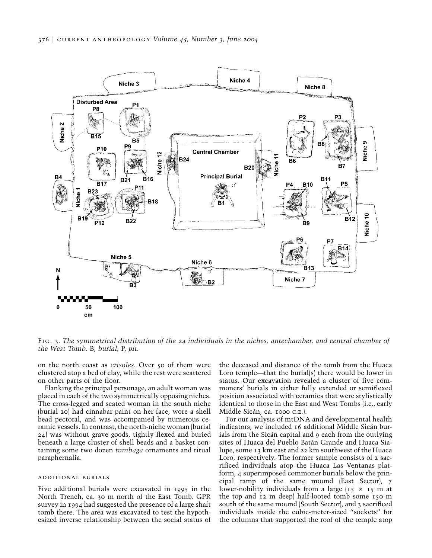

Fig. 3. *The symmetrical distribution of the* <sup>24</sup> *individuals in the niches, antechamber, and central chamber of the West Tomb.* B, *burial;* P, *pit.*

on the north coast as *crisoles*. Over 50 of them were clustered atop a bed of clay, while the rest were scattered on other parts of the floor.

Flanking the principal personage, an adult woman was placed in each of the two symmetrically opposing niches. The cross-legged and seated woman in the south niche (burial 20) had cinnabar paint on her face, wore a shell bead pectoral, and was accompanied by numerous ceramic vessels. In contrast, the north-niche woman (burial 24) was without grave goods, tightly flexed and buried beneath a large cluster of shell beads and a basket containing some two dozen *tumbaga* ornaments and ritual paraphernalia.

#### additional burials

Five additional burials were excavated in 1995 in the North Trench, ca. 30 m north of the East Tomb. GPR survey in 1994 had suggested the presence of a large shaft tomb there. The area was excavated to test the hypothesized inverse relationship between the social status of

the deceased and distance of the tomb from the Huaca Loro temple—that the burial(s) there would be lower in status. Our excavation revealed a cluster of five commoners' burials in either fully extended or semiflexed position associated with ceramics that were stylistically identical to those in the East and West Tombs (i.e., early Middle Sicán, ca. 1000 C.E.).

For our analysis of mtDNA and developmental health indicators, we included 16 additional Middle Sicán burials from the Sicán capital and 9 each from the outlying sites of Huaca del Pueblo Batán Grande and Huaca Sialupe, some 13 km east and 22 km southwest of the Huaca Loro, respectively. The former sample consists of 2 sacrificed individuals atop the Huaca Las Ventanas platform, 4 superimposed commoner burials below the principal ramp of the same mound (East Sector), 7 lower-nobility individuals from a large  $\{15 \times 15 \text{ m at }$ the top and 12 m deep) half-looted tomb some 150 m south of the same mound (South Sector), and 3 sacrificed individuals inside the cubic-meter-sized "sockets" for the columns that supported the roof of the temple atop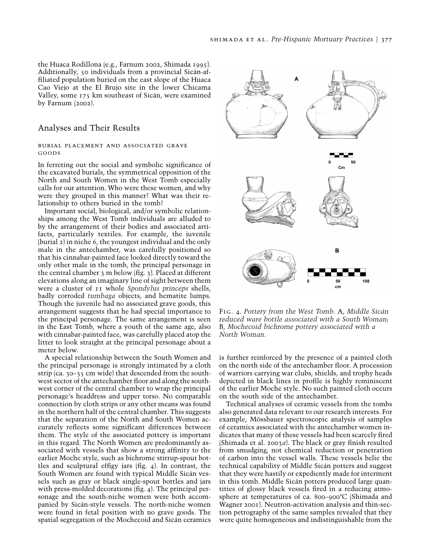the Huaca Rodillona (e.g., Farnum 2002, Shimada 1995). Additionally, 50 individuals from a provincial Sicán-affiliated population buried on the east slope of the Huaca Cao Viejo at the El Brujo site in the lower Chicama Valley, some 175 km southeast of Sicán, were examined by Farnum (2002).

### Analyses and Their Results

#### burial placement and associated grave goods

In ferreting out the social and symbolic significance of the excavated burials, the symmetrical opposition of the North and South Women in the West Tomb especially calls for our attention. Who were these women, and why were they grouped in this manner? What was their relationship to others buried in the tomb?

Important social, biological, and/or symbolic relationships among the West Tomb individuals are alluded to by the arrangement of their bodies and associated artifacts, particularly textiles. For example, the juvenile (burial 2) in niche 6, the youngest individual and the only male in the antechamber, was carefully positioned so that his cinnabar-painted face looked directly toward the only other male in the tomb, the principal personage in the central chamber 3 m below (fig. 3). Placed at different elevations along an imaginary line of sight between them were a cluster of 11 whole *Spondylus princeps* shells, badly corroded *tumbaga* objects, and hematite lumps. Though the juvenile had no associated grave goods, this arrangement suggests that he had special importance to the principal personage. The same arrangement is seen in the East Tomb, where a youth of the same age, also with cinnabar-painted face, was carefully placed atop the litter to look straight at the principal personage about a meter below.

A special relationship between the South Women and the principal personage is strongly intimated by a cloth strip (ca. 30–35 cm wide) that descended from the southwest sector of the antechamber floor and along the southwest corner of the central chamber to wrap the principal personage's headdress and upper torso. No comparable connection by cloth strips or any other means was found in the northern half of the central chamber. This suggests that the separation of the North and South Women accurately reflects some significant differences between them. The style of the associated pottery is important in this regard. The North Women are predominantly associated with vessels that show a strong affinity to the earlier Moche style, such as bichrome stirrup-spout bottles and sculptural effigy jars (fig. 4). In contrast, the South Women are found with typical Middle Sicán vessels such as gray or black single-spout bottles and jars with press-molded decorations (fig. 4). The principal personage and the south-niche women were both accompanied by Sicán-style vessels. The north-niche women were found in fetal position with no grave goods. The spatial segregation of the Mochecoid and Sicán ceramics



Fig. 4. *Pottery from the West Tomb.* A, *Middle Sica´n reduced ware bottle associated with a South Woman;* B, *Mochecoid bichrome pottery associated with a North Woman.*

is further reinforced by the presence of a painted cloth on the north side of the antechamber floor. A procession of warriors carrying war clubs, shields, and trophy heads depicted in black lines in profile is highly reminiscent of the earlier Moche style. No such painted cloth occurs on the south side of the antechamber.

Technical analyses of ceramic vessels from the tombs also generated data relevant to our research interests. For example, Mössbauer spectroscopic analysis of samples of ceramics associated with the antechamber women indicates that many of these vessels had been scarcely fired (Shimada et al. 2003*a*). The black or gray finish resulted from smudging, not chemical reduction or penetration of carbon into the vessel walls. These vessels belie the technical capability of Middle Sicán potters and suggest that they were hastily or expediently made for interment in this tomb. Middle Sican potters produced large quantities of glossy black vessels fired in a reducing atmosphere at temperatures of ca. 800–900°C (Shimada and Wagner 2001). Neutron-activation analysis and thin-section petrography of the same samples revealed that they were quite homogeneous and indistinguishable from the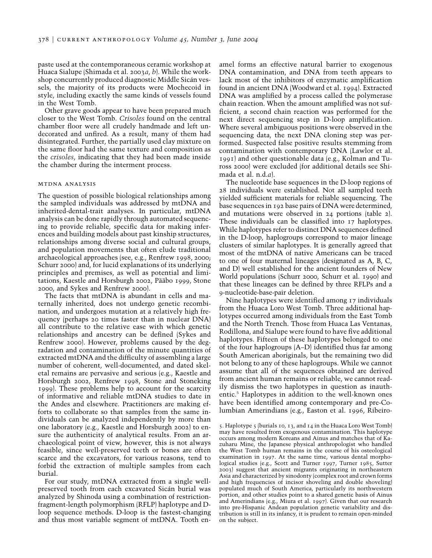paste used at the contemporaneous ceramic workshop at Huaca Sialupe (Shimada et al. 2003*a*, *b*). While the workshop concurrently produced diagnostic Middle Sicán vessels, the majority of its products were Mochecoid in style, including exactly the same kinds of vessels found in the West Tomb.

Other grave goods appear to have been prepared much closer to the West Tomb. *Crisoles* found on the central chamber floor were all crudely handmade and left undecorated and unfired. As a result, many of them had disintegrated. Further, the partially used clay mixture on the same floor had the same texture and composition as the *crisoles*, indicating that they had been made inside the chamber during the interment process.

#### mtdna analysis

The question of possible biological relationships among the sampled individuals was addressed by mtDNA and inherited-dental-trait analyses. In particular, mtDNA analysis can be done rapidly through automated sequencing to provide reliable, specific data for making inferences and building models about past kinship structures, relationships among diverse social and cultural groups, and population movements that often elude traditional archaeological approaches (see, e.g., Renfrew 1998, 2000; Schurr 2000) and, for lucid explanations of its underlying principles and premises, as well as potential and limitations, Kaestle and Horsburgh 2002, Pääbo 1999, Stone 2000, and Sykes and Renfrew 2000).

The facts that mtDNA is abundant in cells and maternally inherited, does not undergo genetic recombination, and undergoes mutation at a relatively high frequency (perhaps 20 times faster than in nuclear DNA) all contribute to the relative ease with which genetic relationships and ancestry can be defined (Sykes and Renfrew 2000). However, problems caused by the degradation and contamination of the minute quantities of extracted mtDNA and the difficulty of assembling a large number of coherent, well-documented, and dated skeletal remains are pervasive and serious (e.g., Kaestle and Horsburgh 2002, Renfrew 1998, Stone and Stoneking 1999). These problems help to account for the scarcity of informative and reliable mtDNA studies to date in the Andes and elsewhere. Practitioners are making efforts to collaborate so that samples from the same individuals can be analyzed independently by more than one laboratory (e.g., Kaestle and Horsburgh 2002) to ensure the authenticity of analytical results. From an archaeological point of view, however, this is not always feasible, since well-preserved teeth or bones are often scarce and the excavators, for various reasons, tend to forbid the extraction of multiple samples from each burial.

For our study, mtDNA extracted from a single wellpreserved tooth from each excavated Sicán burial was analyzed by Shinoda using a combination of restrictionfragment-length polymorphism (RFLP) haplotype and Dloop sequence methods. D-loop is the fastest-changing and thus most variable segment of mtDNA. Tooth enamel forms an effective natural barrier to exogenous DNA contamination, and DNA from teeth appears to lack most of the inhibitors of enzymatic amplification found in ancient DNA (Woodward et al. 1994). Extracted DNA was amplified by a process called the polymerase chain reaction. When the amount amplified was not sufficient, a second chain reaction was performed for the next direct sequencing step in D-loop amplification. Where several ambiguous positions were observed in the sequencing data, the next DNA cloning step was performed. Suspected false positive results stemming from contamination with contemporary DNA (Lawlor et al. 1991) and other questionable data (e.g., Kolman and Tuross 2000) were excluded (for additional details see Shimada et al. n.d.*a*).

The nucleotide base sequences in the D-loop regions of 28 individuals were established. Not all sampled teeth yielded sufficient materials for reliable sequencing. The base sequences in 192 base pairs of DNA were determined, and mutations were observed in 24 portions (table 2). These individuals can be classified into 17 haplotypes. While haplotypes refer to distinct DNA sequences defined in the D-loop, haplogroups correspond to major lineage clusters of similar haplotypes. It is generally agreed that most of the mtDNA of native Americans can be traced to one of four maternal lineages (designated as A, B, C, and D) well established for the ancient founders of New World populations (Schurr 2000, Schurr et al. 1990) and that these lineages can be defined by three RFLPs and a 9-nucleotide-base-pair deletion.

Nine haplotypes were identified among 17 individuals from the Huaca Loro West Tomb. Three additional haplotypes occurred among individuals from the East Tomb and the North Trench. Those from Huaca Las Ventanas, Rodillona, and Sialupe were found to have five additional haplotypes. Fifteen of these haplotypes belonged to one of the four haplogroups (A–D) identified thus far among South American aboriginals, but the remaining two did not belong to any of these haplogroups. While we cannot assume that all of the sequences obtained are derived from ancient human remains or reliable, we cannot readily dismiss the two haplotypes in question as inauthentic.5 Haplotypes in addition to the well-known ones have been identified among contemporary and pre-Columbian Amerindians (e.g., Easton et al. 1996, Ribeiro-

5. Haplotype 5 (burials 10, 13, and 14 in the Huaca Loro West Tomb) may have resulted from exogenous contamination. This haplotype occurs among modern Koreans and Ainus and matches that of Kazuharu Mine, the Japanese physical anthropologist who handled the West Tomb human remains in the course of his osteological examination in 1997. At the same time, various dental morphological studies (e.g., Scott and Turner 1997, Turner 1985, Sutter 2003) suggest that ancient migrants originating in northeastern Asia and characterized by sinodonty (complex root and crown forms and high frequencies of incisor shoveling and double shoveling) populated much of South America, particularly its northwestern portion, and other studies point to a shared genetic basis of Ainus and Amerindians (e.g., Miura et al. 1997). Given that our research into pre-Hispanic Andean population genetic variability and distribution is still in its infancy, it is prudent to remain open-minded on the subject.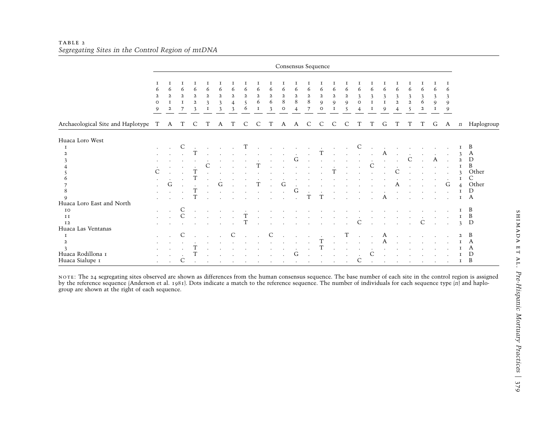#### table 2*Segregating Sites in the Control Region of mtDNA*

|                                      |                                   |                                        |                                   |                                                                |                                     |                                     |                                     |                             |                        |                                     |                             | Consensus Sequence                                                                                                          |                                   |                                                           |                                     |                        |                                  |                        |                                   |                          |                                     |                             |        |                       |                |              |   |   |   |                  |            |
|--------------------------------------|-----------------------------------|----------------------------------------|-----------------------------------|----------------------------------------------------------------|-------------------------------------|-------------------------------------|-------------------------------------|-----------------------------|------------------------|-------------------------------------|-----------------------------|-----------------------------------------------------------------------------------------------------------------------------|-----------------------------------|-----------------------------------------------------------|-------------------------------------|------------------------|----------------------------------|------------------------|-----------------------------------|--------------------------|-------------------------------------|-----------------------------|--------|-----------------------|----------------|--------------|---|---|---|------------------|------------|
|                                      | 6<br>$\mathbf{2}$<br>$\circ$<br>9 | 6<br>$\mathbf{2}$<br>$\mathbf{I}$<br>2 | 6<br>$\mathbf{2}$<br>$\mathbf{I}$ | 6<br>$\overline{2}$<br>$\mathbf{2}$<br>$\overline{\mathbf{3}}$ | 6<br>$\mathbf{2}$<br>$\overline{3}$ | 6<br>$\mathbf{2}$<br>$\overline{3}$ | 6<br>$\mathbf{2}$<br>$\overline{4}$ | 6<br>$\mathbf{2}$<br>5<br>6 | 6<br>$\mathbf{2}$<br>6 | 6<br>$\mathbf{2}$<br>6              | 6<br>$\mathbf{2}$<br>8<br>O | 6<br>$\mathbf{2}$<br>$\,8\,$                                                                                                | 6<br>$\mathbf{2}$<br>$\,8\,$      | 6<br>$\mathbf{2}$<br>9<br>$\circ$                         | 6<br>$\mathbf{2}$<br>$\overline{9}$ | 6<br>$\mathbf{2}$<br>9 | 6<br>3<br>$\circ$                | 6<br>3<br>$\mathbf{I}$ | 6<br>3<br>$\mathbf I$             | 6<br>3<br>$\overline{2}$ | 6<br>3<br>$\overline{2}$            | 6<br>3<br>6<br>$\mathbf{2}$ | 3<br>9 | 6<br>3<br>$\mathbf Q$ |                |              |   |   |   |                  |            |
| Archaeological Site and Haplotype T  |                                   |                                        |                                   |                                                                |                                     |                                     |                                     |                             |                        |                                     | A T C T A T C C             |                                                                                                                             |                                   |                                                           | T                                   |                        | A A C C                          |                        |                                   | $\mathbf C$              | $\mathbb{C}$                        | T                           | T      | G                     | $\mathbf T$    | T            | T | G | A | $\boldsymbol{n}$ | Haplogroup |
| Huaca Loro West                      |                                   |                                        |                                   |                                                                |                                     |                                     |                                     |                             |                        |                                     |                             |                                                                                                                             |                                   |                                                           |                                     |                        |                                  |                        |                                   |                          |                                     |                             |        |                       |                |              |   |   |   |                  |            |
| п.                                   |                                   |                                        | C                                 |                                                                |                                     |                                     |                                     | T                           |                        |                                     |                             |                                                                                                                             |                                   | $\mathcal{L}_{\text{max}}$ and $\mathcal{L}_{\text{max}}$ | $\sim$ $\sim$                       |                        | C                                |                        |                                   |                          |                                     | $\sim 100$                  |        |                       |                | $\mathbf{B}$ |   |   |   |                  |            |
|                                      |                                   |                                        |                                   |                                                                |                                     |                                     |                                     | <b>Service</b>              | $\sim$ $-$             | $\sim$                              | <b>Contractor</b>           |                                                                                                                             | $\sim$                            | T                                                         |                                     | and the company of     |                                  |                        | A                                 | $\sim$ $\sim$            |                                     |                             |        |                       | 3              | A            |   |   |   |                  |            |
|                                      |                                   |                                        |                                   |                                                                | <b>Service Control</b>              |                                     |                                     |                             |                        |                                     |                             |                                                                                                                             | and the state of the state of the |                                                           |                                     |                        | and the contract of the contract |                        | <b>Contract Contract Contract</b> | $\cdot$                  | $\mathsf{C}$                        | $\sim$                      | A      |                       | $\mathbf{2}$   | D            |   |   |   |                  |            |
|                                      |                                   |                                        |                                   |                                                                | $\mathsf{C}$                        |                                     |                                     |                             | T                      |                                     |                             |                                                                                                                             |                                   |                                                           |                                     |                        |                                  | C                      |                                   |                          |                                     |                             |        |                       | 1              | B            |   |   |   |                  |            |
|                                      | C                                 |                                        |                                   | T                                                              |                                     |                                     |                                     |                             |                        |                                     |                             |                                                                                                                             |                                   |                                                           | T                                   |                        |                                  |                        |                                   |                          |                                     |                             |        |                       | 3              | Other        |   |   |   |                  |            |
|                                      |                                   |                                        |                                   | T                                                              |                                     |                                     |                                     |                             |                        |                                     |                             |                                                                                                                             |                                   |                                                           |                                     |                        |                                  |                        |                                   |                          |                                     |                             |        |                       | $\mathbf I$    | C            |   |   |   |                  |            |
|                                      |                                   | G                                      |                                   |                                                                |                                     | G                                   |                                     |                             | T                      | $\sim$                              | G                           | $\ddot{\phantom{a}}$                                                                                                        | $\sim$                            | $\mathbf{r}$                                              | <b>Contract Contract</b>            |                        | $\sim 100$                       |                        |                                   | A                        |                                     |                             |        | G                     | $\overline{4}$ | Other        |   |   |   |                  |            |
| 8                                    |                                   |                                        |                                   |                                                                |                                     |                                     |                                     |                             |                        |                                     |                             | G                                                                                                                           | $\blacksquare$                    |                                                           |                                     |                        |                                  |                        |                                   |                          |                                     |                             |        |                       | $\mathbf I$    | D            |   |   |   |                  |            |
| Huaca Loro East and North            |                                   |                                        |                                   |                                                                |                                     |                                     |                                     |                             |                        |                                     | $\sim$                      |                                                                                                                             | T                                 | T                                                         |                                     |                        |                                  |                        | A                                 |                          |                                     |                             |        |                       | Ι.             | A            |   |   |   |                  |            |
| IO                                   |                                   |                                        | C                                 |                                                                |                                     |                                     |                                     |                             |                        |                                     |                             |                                                                                                                             |                                   |                                                           |                                     |                        |                                  |                        |                                   |                          |                                     |                             |        |                       |                | $\mathbf{B}$ |   |   |   |                  |            |
| $\;$ I I                             |                                   |                                        | C                                 |                                                                |                                     |                                     |                                     | T                           | $\cdot$                |                                     |                             |                                                                                                                             |                                   |                                                           |                                     |                        |                                  |                        |                                   |                          | the contract of the contract of the |                             |        |                       |                | 1 B          |   |   |   |                  |            |
| I <sub>2</sub>                       |                                   |                                        |                                   |                                                                |                                     |                                     |                                     | T                           | $\cdot$                | $\ddot{\phantom{a}}$                |                             | the contract of the contract of the contract of the contract of the contract of                                             |                                   |                                                           |                                     | $\sim$                 | $\mathsf{C}$                     | $\sim$ $\sim$          | and the company of the com-       |                          | $\sim$                              | $\mathsf{C}$                |        |                       | 3              | D            |   |   |   |                  |            |
| Huaca Las Ventanas                   |                                   |                                        |                                   |                                                                |                                     |                                     |                                     |                             |                        |                                     |                             |                                                                                                                             |                                   |                                                           |                                     |                        |                                  |                        |                                   |                          |                                     |                             |        |                       |                |              |   |   |   |                  |            |
| п.                                   |                                   |                                        | C                                 |                                                                |                                     |                                     | C                                   | $\sim 10^{-11}$             | $\sim$ 100 $\mu$       | $\mathsf{C}$                        |                             |                                                                                                                             | the company of the company        |                                                           |                                     | $\mathbf T$            | $\sim 100$                       | $\sim 100$             | A                                 |                          |                                     |                             |        |                       | $\mathbf{2}$   | B            |   |   |   |                  |            |
| $\mathbf{2}$                         |                                   |                                        | the contract of the contract of   |                                                                |                                     | $\cdot$                             |                                     |                             |                        |                                     |                             | $\mathbf{r}$ . The set of $\mathbf{r}$ and $\mathbf{r}$ and $\mathbf{r}$ and $\mathbf{r}$ and $\mathbf{r}$ and $\mathbf{r}$ |                                   |                                                           |                                     |                        |                                  |                        |                                   |                          |                                     |                             |        |                       | Ι.             | A            |   |   |   |                  |            |
|                                      |                                   |                                        |                                   | T                                                              |                                     |                                     |                                     | <b>Contract Contract</b>    |                        |                                     |                             |                                                                                                                             | $\ddot{\phantom{a}}$              | T                                                         |                                     |                        | $\sim$                           | $\sim 100$             | $\sim$ 100 $\sim$                 | $\cdot$                  | $\sim 100$                          |                             |        |                       | 1              | A            |   |   |   |                  |            |
| Huaca Rodillona I<br>Huaca Sialupe I |                                   |                                        | C                                 | T                                                              |                                     |                                     |                                     | $\sim$                      |                        | the contract of the contract of the |                             | G                                                                                                                           |                                   |                                                           | $\cdot$                             |                        | $\mathsf{C}$                     | $\mathsf{C}$           |                                   |                          | $\sim$                              | $\sim$                      |        |                       | Ι.<br>1        | D<br>B       |   |   |   |                  |            |

note: The <sup>24</sup> segregating sites observed are shown as differences from the human consensus sequence. The base number of each site in the control region is assigned by the reference sequence (Anderson et al. 1981). Dots indicate <sup>a</sup> match to the reference sequence. The number of individuals for each sequence type (*n*) and haplogroup are shown at the right of each sequence.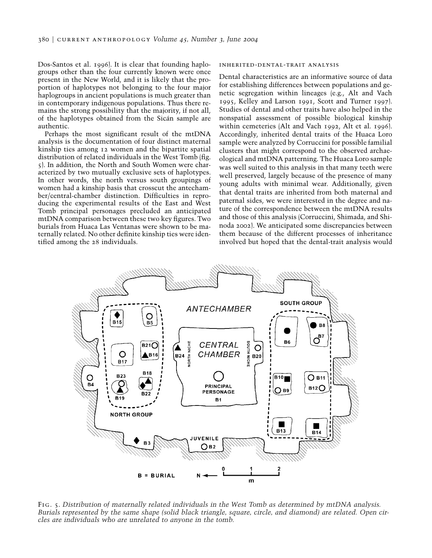Dos-Santos et al. 1996). It is clear that founding haplogroups other than the four currently known were once present in the New World, and it is likely that the proportion of haplotypes not belonging to the four major haplogroups in ancient populations is much greater than in contemporary indigenous populations. Thus there remains the strong possibility that the majority, if not all, of the haplotypes obtained from the Sicán sample are authentic.

Perhaps the most significant result of the mtDNA analysis is the documentation of four distinct maternal kinship ties among 12 women and the bipartite spatial distribution of related individuals in the West Tomb (fig. 5). In addition, the North and South Women were characterized by two mutually exclusive sets of haplotypes. In other words, the north versus south groupings of women had a kinship basis that crosscut the antechamber/central-chamber distinction. Difficulties in reproducing the experimental results of the East and West Tomb principal personages precluded an anticipated mtDNA comparison between these two key figures. Two burials from Huaca Las Ventanas were shown to be maternally related. No other definite kinship ties were identified among the 28 individuals.

#### inherited-dental-trait analysis

Dental characteristics are an informative source of data for establishing differences between populations and genetic segregation within lineages (e.g., Alt and Vach 1995, Kelley and Larson 1991, Scott and Turner 1997). Studies of dental and other traits have also helped in the nonspatial assessment of possible biological kinship within cemeteries (Alt and Vach 1992, Alt et al. 1996). Accordingly, inherited dental traits of the Huaca Loro sample were analyzed by Corruccini for possible familial clusters that might correspond to the observed archaeological and mtDNA patterning. The Huaca Loro sample was well suited to this analysis in that many teeth were well preserved, largely because of the presence of many young adults with minimal wear. Additionally, given that dental traits are inherited from both maternal and paternal sides, we were interested in the degree and nature of the correspondence between the mtDNA results and those of this analysis (Corruccini, Shimada, and Shinoda 2002). We anticipated some discrepancies between them because of the different processes of inheritance involved but hoped that the dental-trait analysis would



Fig. 5. *Distribution of maternally related individuals in the West Tomb as determined by mtDNA analysis. Burials represented by the same shape (solid black triangle, square, circle, and diamond) are related. Open circles are individuals who are unrelated to anyone in the tomb.*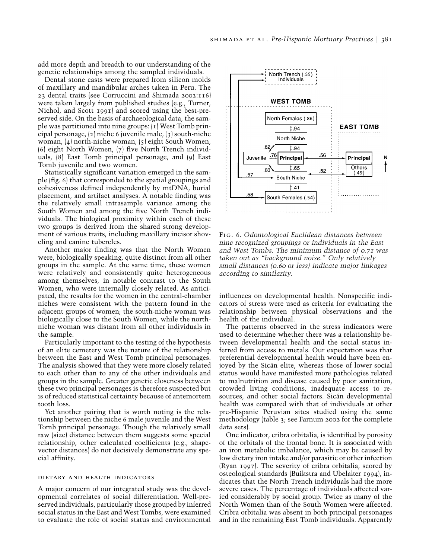add more depth and breadth to our understanding of the genetic relationships among the sampled individuals.

Dental stone casts were prepared from silicon molds of maxillary and mandibular arches taken in Peru. The 23 dental traits (see Corruccini and Shimada 2002:116) were taken largely from published studies (e.g., Turner, Nichol, and Scott 1991) and scored using the best-preserved side. On the basis of archaeological data, the sample was partitioned into nine groups: (1) West Tomb principal personage, (2) niche 6 juvenile male, (3) south-niche woman, (4) north-niche woman, (5) eight South Women, (6) eight North Women, (7) five North Trench individuals, (8) East Tomb principal personage, and (9) East Tomb juvenile and two women.

Statistically significant variation emerged in the sample (fig. 6) that corresponded to the spatial groupings and cohesiveness defined independently by mtDNA, burial placement, and artifact analyses. A notable finding was the relatively small intrasample variance among the South Women and among the five North Trench individuals. The biological proximity within each of these two groups is derived from the shared strong development of various traits, including maxillary incisor shoveling and canine tubercles.

Another major finding was that the North Women were, biologically speaking, quite distinct from all other groups in the sample. At the same time, these women were relatively and consistently quite heterogeneous among themselves, in notable contrast to the South Women, who were internally closely related. As anticipated, the results for the women in the central-chamber niches were consistent with the pattern found in the adjacent groups of women; the south-niche woman was biologically close to the South Women, while the northniche woman was distant from all other individuals in the sample.

Particularly important to the testing of the hypothesis of an elite cemetery was the nature of the relationship between the East and West Tomb principal personages. The analysis showed that they were more closely related to each other than to any of the other individuals and groups in the sample. Greater genetic closeness between these two principal personages is therefore suspected but is of reduced statistical certainty because of antemortem tooth loss.

Yet another pairing that is worth noting is the relationship between the niche 6 male juvenile and the West Tomb principal personage. Though the relatively small raw (size) distance between them suggests some special relationship, other calculated coefficients (e.g., shapevector distances) do not decisively demonstrate any special affinity.

#### dietary and health indicators

A major concern of our integrated study was the developmental correlates of social differentiation. Well-preserved individuals, particularly those grouped by inferred social status in the East and West Tombs, were examined to evaluate the role of social status and environmental



Fig. 6. *Odontological Euclidean distances between nine recognized groupings or individuals in the East and West Tombs. The minimum distance of* 0.71 *was taken out as "background noise." Only relatively small distances (*0.60 *or less) indicate major linkages according to similarity.*

influences on developmental health. Nonspecific indicators of stress were used as criteria for evaluating the relationship between physical observations and the health of the individual.

The patterns observed in the stress indicators were used to determine whether there was a relationship between developmental health and the social status inferred from access to metals. Our expectation was that preferential developmental health would have been enjoyed by the Sicán elite, whereas those of lower social status would have manifested more pathologies related to malnutrition and disease caused by poor sanitation, crowded living conditions, inadequate access to resources, and other social factors. Sicán developmental health was compared with that of individuals at other pre-Hispanic Peruvian sites studied using the same methodology (table 3; see Farnum 2002 for the complete data sets).

One indicator, cribra orbitalia, is identified by porosity of the orbitals of the frontal bone. It is associated with an iron metabolic imbalance, which may be caused by low dietary iron intake and/or parasitic or other infection (Ryan 1997). The severity of cribra orbitalia, scored by osteological standards (Buikstra and Ubelaker 1994), indicates that the North Trench individuals had the more severe cases. The percentage of individuals affected varied considerably by social group. Twice as many of the North Women than of the South Women were affected. Cribra orbitalia was absent in both principal personages and in the remaining East Tomb individuals. Apparently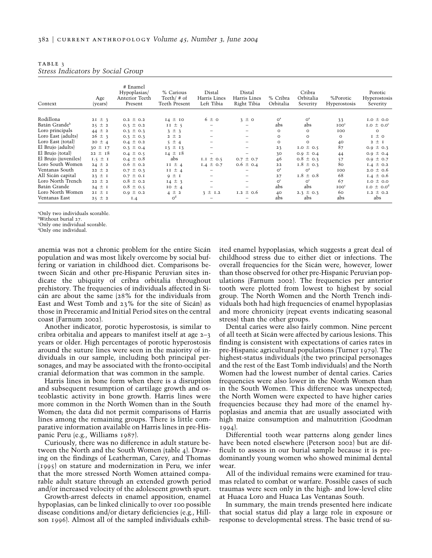| Context                       | Age<br>(years) | # Enamel<br>Hypoplasias/<br>Anterior Teeth<br>Present | % Carious<br>Teeth/ $#$ of<br>Teeth Present | Distal<br>Harris Lines<br>Left Tibia | Distal<br>Harris Lines<br>Right Tibia | % Cribra<br>Orbitalia | Cribra<br>Orbitalia<br>Severity | %Porotic<br>Hyperostosis | Porotic<br>Hyperostosis<br>Severity |
|-------------------------------|----------------|-------------------------------------------------------|---------------------------------------------|--------------------------------------|---------------------------------------|-----------------------|---------------------------------|--------------------------|-------------------------------------|
| Rodillona                     | $2I \pm 3$     | $0.2 \pm 0.2$                                         | $14 \pm 10$                                 | $6 \pm o$                            | $3 \pm 0$                             | O <sup>3</sup>        | O <sup>3</sup>                  | 33                       | $1.0 \pm 0.0$                       |
| Batán Grande <sup>b</sup>     | $25 \pm 2$     | $0.3 \pm 0.2$                                         | $II \pm 5$                                  |                                      |                                       | abs                   | abs                             | 100 <sup>c</sup>         | $I.0 \pm 0.0^{\circ}$               |
| Loro principals               | $44 \pm 2$     | $0.3 \pm 0.3$                                         | $3 \pm 3$                                   |                                      | $\overline{\phantom{0}}$              | $\Omega$              | $\Omega$                        | <b>IOO</b>               | $\circ$                             |
| Loro East (adults)            | $26 \pm 3$     | $0.3 \pm 0.3$                                         | $2 \pm 2$                                   |                                      | $\qquad \qquad =$                     | $\circ$               | $\circ$                         | $\circ$                  | $I \pm 0$                           |
| Loro East (total)             | $20 \pm 4$     | $0.4 \pm 0.2$                                         | $5 \pm 4$                                   |                                      |                                       | $\circ$               | $\circ$                         | 40                       | $2 \pm I$                           |
| El Brujo (adults)             | $30 \pm 17$    | 0.3 $\pm$ 0.4                                         | $13 \pm 13$                                 | $\qquad \qquad =$                    | $\qquad \qquad =$                     | 23                    | $I.0 \pm 0.5$                   | 87                       | $0.9 \pm 0.3$                       |
| El Brujo (total)              | $22 \pm 18$    | 0.4 $\pm$ 0.5                                         | $14 \pm 18$                                 |                                      |                                       | 30                    | 0.9 $\pm$ 0.4                   | 44                       | 0.9 $\pm$ 0.4                       |
| El Brujo ( <i>juveniles</i> ) | $1.5 \pm 1$    | 0.4 $\pm$ 0.8                                         | abs                                         | $I.I \pm 0.5$                        | $0.7 \pm 0.7$                         | 46                    | $0.8 \pm 0.3$                   | 57                       | 0.9 $\pm$ 0.7                       |
| Loro South Women              | $24 \pm 2$     | $0.6 \pm 0.2$                                         | $II \pm 4$                                  | $I.4 \pm 0.7$                        | $0.6 \pm 0.4$                         | 22                    | $1.8 \pm 0.3$                   | 80                       | $1.4 \pm 0.2$                       |
| Ventanas South                | $22 \pm 2$     | $0.7 \pm 0.3$                                         | $II \pm 4$                                  |                                      |                                       | O <sup>3</sup>        | O <sup>3</sup>                  | 100                      | $2.0 \pm 0.6$                       |
| All Sicán capital             | $23 \pm I$     | $0.7 \pm 0.1$                                         | $9 \pm 1$                                   |                                      |                                       | 27                    | $1.8 \pm 0.8$                   | 68                       | $1.4 \pm 0.6$                       |
| Loro North Trench             | $22 \pm 2$     | $0.8 \pm 0.2$                                         | $14 \pm 3$                                  | $\qquad \qquad -$                    | $\qquad \qquad =$                     | O <sup>c</sup>        | O <sup>c</sup>                  | 67                       | $I.0 \pm 0.0$                       |
| Batán Grande                  | $24 \pm I$     | $0.8 \pm 0.5$                                         | $10 \pm 4$                                  |                                      |                                       | abs                   | abs                             | 100 <sup>c</sup>         | $I.0 \pm 0.0^d$                     |
| Loro North Women              | $2I \pm I$     | 0.9 $\pm$ 0.2                                         | $4 \pm 2$                                   | $3 \pm 1.2$                          | $1.2 \pm 0.6$                         | 40                    | $2.3 \pm 0.3$                   | 60                       | $1.2 \pm 0.2$                       |
| Ventanas East                 | $25 \pm 2$     | I.4                                                   | O <sup>d</sup>                              |                                      |                                       | abs                   | abs                             | abs                      | abs                                 |

| TABLE 3 |                                   |  |  |
|---------|-----------------------------------|--|--|
|         | Stress Indicators by Social Group |  |  |

a Only two individuals scorable.

b Without burial 27.

c Only one individual scorable. dOnly one individual.

anemia was not a chronic problem for the entire Sicán population and was most likely overcome by social buffering or variation in childhood diet. Comparisons between Sicán and other pre-Hispanic Peruvian sites indicate the ubiquity of cribra orbitalia throughout prehistory. The frequencies of individuals affected in Sicán are about the same  $(28\%$  for the individuals from East and West Tomb and  $23\%$  for the site of Sicán) as those in Preceramic and Initial Period sites on the central coast (Farnum 2002).

Another indicator, porotic hyperostosis, is similar to cribra orbitalia and appears to manifest itself at age 2–3 years or older. High percentages of porotic hyperostosis around the suture lines were seen in the majority of individuals in our sample, including both principal personages, and may be associated with the fronto-occipital cranial deformation that was common in the sample.

Harris lines in bone form when there is a disruption and subsequent resumption of cartilage growth and osteoblastic activity in bone growth. Harris lines were more common in the North Women than in the South Women; the data did not permit comparisons of Harris lines among the remaining groups. There is little comparative information available on Harris lines in pre-Hispanic Peru (e.g., Williams 1987).

Curiously, there was no difference in adult stature between the North and the South Women (table 4). Drawing on the findings of Leatherman, Carey, and Thomas (1995) on stature and modernization in Peru, we infer that the more stressed North Women attained comparable adult stature through an extended growth period and/or increased velocity of the adolescent growth spurt.

Growth-arrest defects in enamel apposition, enamel hypoplasias, can be linked clinically to over 100 possible disease conditions and/or dietary deficiencies (e.g., Hillson 1996). Almost all of the sampled individuals exhibited enamel hypoplasias, which suggests a great deal of childhood stress due to either diet or infections. The overall frequencies for the Sicán were, however, lower than those observed for other pre-Hispanic Peruvian populations (Farnum 2002). The frequencies per anterior tooth were plotted from lowest to highest by social group. The North Women and the North Trench individuals both had high frequencies of enamel hypoplasias and more chronicity (repeat events indicating seasonal stress) than the other groups.

Dental caries were also fairly common. Nine percent of all teeth at Sicán were affected by carious lesions. This finding is consistent with expectations of caries rates in pre-Hispanic agricultural populations (Turner 1979). The highest-status individuals (the two principal personages and the rest of the East Tomb individuals) and the North Women had the lowest number of dental caries. Caries frequencies were also lower in the North Women than in the South Women. This difference was unexpected; the North Women were expected to have higher caries frequencies because they had more of the enamel hypoplasias and anemia that are usually associated with high maize consumption and malnutrition (Goodman 1994).

Differential tooth wear patterns along gender lines have been noted elsewhere (Peterson 2002) but are difficult to assess in our burial sample because it is predominantly young women who showed minimal dental wear.

All of the individual remains were examined for traumas related to combat or warfare. Possible cases of such traumas were seen only in the high- and low-level elite at Huaca Loro and Huaca Las Ventanas South.

In summary, the main trends presented here indicate that social status did play a large role in exposure or response to developmental stress. The basic trend of su-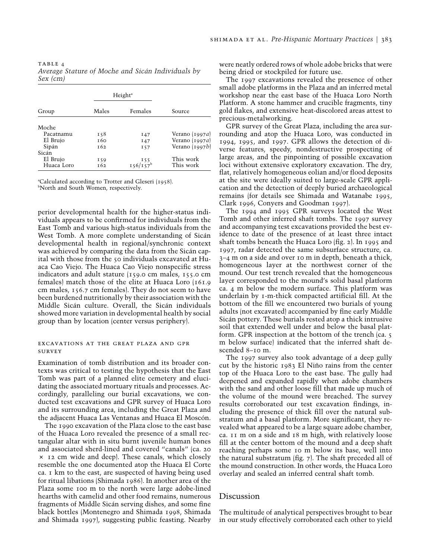| TABLE 4 |          |  |                                                   |  |
|---------|----------|--|---------------------------------------------------|--|
|         |          |  | Average Stature of Moche and Sicán Individuals by |  |
|         | Sex (cm) |  |                                                   |  |

|            |                 | Height <sup>a</sup> |                  |
|------------|-----------------|---------------------|------------------|
| Group      | Males           | Females             | Source           |
| Moche      |                 |                     |                  |
| Pacatnamu  | I58             | I47                 | Verano $[1997a]$ |
| El Brujo   | т 60            | I47                 | Verano $(1997a)$ |
| Sipán      | T <sub>62</sub> | I57                 | Verano $(1997b)$ |
| Sicán      |                 |                     |                  |
| El Brujo   | I59             | I55                 | This work        |
| Huaca Loro | T62             | $156/157^b$         | This work        |

a Calculated according to Trotter and Gleseri (1958).

b North and South Women, respectively.

perior developmental health for the higher-status individuals appears to be confirmed for individuals from the East Tomb and various high-status individuals from the West Tomb. A more complete understanding of Sicán developmental health in regional/synchronic context was achieved by comparing the data from the Sicán capital with those from the 50 individuals excavated at Huaca Cao Viejo. The Huaca Cao Viejo nonspecific stress indicators and adult stature (159.0 cm males, 155.0 cm females) match those of the elite at Huaca Loro (161.9 cm males, 156.7 cm females). They do not seem to have been burdened nutritionally by their association with the Middle Sicán culture. Overall, the Sicán individuals showed more variation in developmental health by social group than by location (center versus periphery).

#### excavations at the great plaza and gpr **SURVEY**

Examination of tomb distribution and its broader contexts was critical to testing the hypothesis that the East Tomb was part of a planned elite cemetery and elucidating the associated mortuary rituals and processes. Accordingly, paralleling our burial excavations, we conducted test excavations and GPR survey of Huaca Loro and its surrounding area, including the Great Plaza and the adjacent Huaca Las Ventanas and Huaca El Moscón.

The 1990 excavation of the Plaza close to the east base of the Huaca Loro revealed the presence of a small rectangular altar with in situ burnt juvenile human bones and associated sherd-lined and covered "canals" (ca. 20  $\times$  12 cm wide and deep). These canals, which closely resemble the one documented atop the Huaca El Corte ca. 1 km to the east, are suspected of having being used for ritual libations (Shimada 1986). In another area of the Plaza some 100 m to the north were large adobe-lined hearths with camelid and other food remains, numerous fragments of Middle Sicán serving dishes, and some fine black bottles (Montenegro and Shimada 1998, Shimada and Shimada 1997), suggesting public feasting. Nearby were neatly ordered rows of whole adobe bricks that were being dried or stockpiled for future use.

The 1997 excavations revealed the presence of other small adobe platforms in the Plaza and an inferred metal workshop near the east base of the Huaca Loro North Platform. A stone hammer and crucible fragments, tiny gold flakes, and extensive heat-discolored areas attest to precious-metalworking.

GPR survey of the Great Plaza, including the area surrounding and atop the Huaca Loro, was conducted in 1994, 1995, and 1997. GPR allows the detection of diverse features, speedy, nondestructive prospecting of large areas, and the pinpointing of possible excavation loci without extensive exploratory excavation. The dry, flat, relatively homogeneous eolian and/or flood deposits at the site were ideally suited to large-scale GPR application and the detection of deeply buried archaeological remains (for details see Shimada and Watanabe 1995, Clark 1996, Conyers and Goodman 1997).

The 1994 and 1995 GPR surveys located the West Tomb and other inferred shaft tombs. The 1997 survey and accompanying test excavations provided the best evidence to date of the presence of at least three intact shaft tombs beneath the Huaca Loro (fig. 2). In 1995 and 1997, radar detected the same subsurface structure, ca. 3–4 m on a side and over 10 m in depth, beneath a thick, homogeneous layer at the northwest corner of the mound. Our test trench revealed that the homogeneous layer corresponded to the mound's solid basal platform ca. 4 m below the modern surface. This platform was underlain by 1-m-thick compacted artificial fill. At the bottom of the fill we encountered two burials of young adults (not excavated) accompanied by fine early Middle Sicán pottery. These burials rested atop a thick intrusive soil that extended well under and below the basal platform. GPR inspection at the bottom of the trench (ca. 5 m below surface) indicated that the inferred shaft descended 8–10 m.

The 1997 survey also took advantage of a deep gully cut by the historic  $1983$  El Niño rains from the center top of the Huaca Loro to the east base. The gully had deepened and expanded rapidly when adobe chambers with the sand and other loose fill that made up much of the volume of the mound were breached. The survey results corroborated our test excavation findings, including the presence of thick fill over the natural substratum and a basal platform. More significant, they revealed what appeared to be a large square adobe chamber, ca. 11 m on a side and 18 m high, with relatively loose fill at the center bottom of the mound and a deep shaft reaching perhaps some 10 m below its base, well into the natural substratum (fig. 7). The shaft preceded all of the mound construction. In other words, the Huaca Loro overlay and sealed an inferred central shaft tomb.

#### Discussion

The multitude of analytical perspectives brought to bear in our study effectively corroborated each other to yield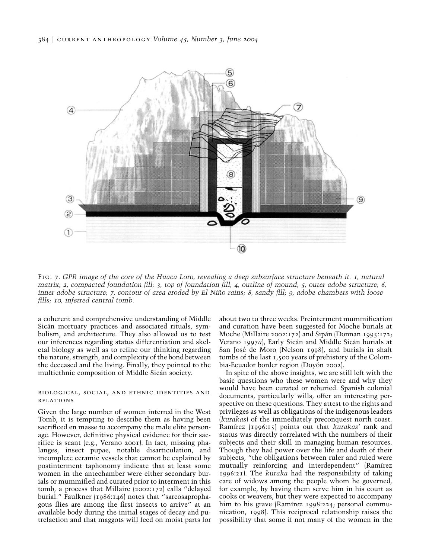

Fig. 7. *GPR image of the core of the Huaca Loro, revealing a deep subsurface structure beneath it.* <sup>1</sup>*, natural matrix;* <sup>2</sup>*, compacted foundation fill;* <sup>3</sup>*, top of foundation fill;* <sup>4</sup>*, outline of mound;* <sup>5</sup>*, outer adobe structure;* <sup>6</sup>*, inner adobe structure;* 7, contour of area eroded by El Niño rains; 8, sandy fill; 9, adobe chambers with loose *fills;* <sup>10</sup>*, inferred central tomb.*

a coherent and comprehensive understanding of Middle Sicán mortuary practices and associated rituals, symbolism, and architecture. They also allowed us to test our inferences regarding status differentiation and skeletal biology as well as to refine our thinking regarding the nature, strength, and complexity of the bond between the deceased and the living. Finally, they pointed to the multiethnic composition of Middle Sicán society.

#### biological, social, and ethnic identities and relations

Given the large number of women interred in the West Tomb, it is tempting to describe them as having been sacrificed en masse to accompany the male elite personage. However, definitive physical evidence for their sacrifice is scant (e.g., Verano 2001). In fact, missing phalanges, insect pupae, notable disarticulation, and incomplete ceramic vessels that cannot be explained by postinterment taphonomy indicate that at least some women in the antechamber were either secondary burials or mummified and curated prior to interment in this tomb, a process that Millaire (2002:172) calls "delayed burial." Faulkner (1986:146) notes that "sarcosaprophagous flies are among the first insects to arrive" at an available body during the initial stages of decay and putrefaction and that maggots will feed on moist parts for about two to three weeks. Preinterment mummification and curation have been suggested for Moche burials at Moche (Millaire 2002:172) and Sipán (Donnan 1995:172; Verano 1997*a*), Early Sicán and Middle Sicán burials at San José de Moro (Nelson 1998), and burials in shaft tombs of the last 1,500 years of prehistory of the Colombia-Ecuador border region (Doyón 2002).

In spite of the above insights, we are still left with the basic questions who these women were and why they would have been curated or reburied. Spanish colonial documents, particularly wills, offer an interesting perspective on these questions. They attest to the rights and privileges as well as obligations of the indigenous leaders (*kurakas*) of the immediately preconquest north coast. Ramı´rez (1996:15) points out that *kurakas'* rank and status was directly correlated with the numbers of their subjects and their skill in managing human resources. Though they had power over the life and death of their subjects, "the obligations between ruler and ruled were mutually reinforcing and interdependent" (Ramírez 1996:21). The *kuraka* had the responsibility of taking care of widows among the people whom he governed, for example, by having them serve him in his court as cooks or weavers, but they were expected to accompany him to his grave (Ramírez 1998:224; personal communication, 1998). This reciprocal relationship raises the possibility that some if not many of the women in the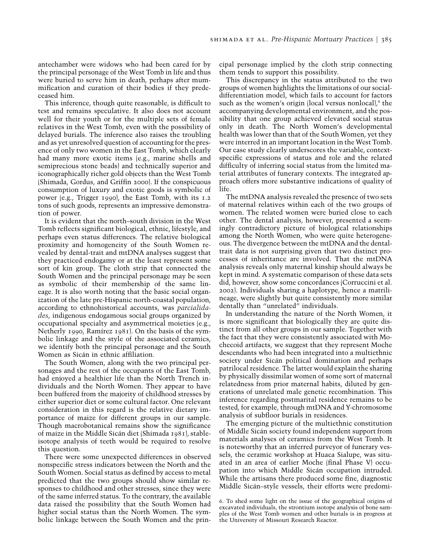antechamber were widows who had been cared for by the principal personage of the West Tomb in life and thus were buried to serve him in death, perhaps after mummification and curation of their bodies if they predeceased him.

This inference, though quite reasonable, is difficult to test and remains speculative. It also does not account well for their youth or for the multiple sets of female relatives in the West Tomb, even with the possibility of delayed burials. The inference also raises the troubling and as yet unresolved question of accounting for the presence of only two women in the East Tomb, which clearly had many more exotic items (e.g., marine shells and semiprecious stone beads) and technically superior and iconographically richer gold objects than the West Tomb (Shimada, Gordus, and Griffin 2000). If the conspicuous consumption of luxury and exotic goods is symbolic of power (e.g., Trigger 1990), the East Tomb, with its 1.2 tons of such goods, represents an impressive demonstration of power.

It is evident that the north–south division in the West Tomb reflects significant biological, ethnic, lifestyle, and perhaps even status differences. The relative biological proximity and homogeneity of the South Women revealed by dental-trait and mtDNA analyses suggest that they practiced endogamy or at the least represent some sort of kin group. The cloth strip that connected the South Women and the principal personage may be seen as symbolic of their membership of the same lineage. It is also worth noting that the basic social organization of the late pre-Hispanic north-coastal population, according to ethnohistorical accounts, was *parcialidades*, indigenous endogamous social groups organized by occupational specialty and asymmetrical moieties (e.g., Netherly 1990, Ramírez 1981). On the basis of the symbolic linkage and the style of the associated ceramics, we identify both the principal personage and the South Women as Sicán in ethnic affiliation.

The South Women, along with the two principal personages and the rest of the occupants of the East Tomb, had enjoyed a healthier life than the North Trench individuals and the North Women. They appear to have been buffered from the majority of childhood stresses by either superior diet or some cultural factor. One relevant consideration in this regard is the relative dietary importance of maize for different groups in our sample. Though macrobotanical remains show the significance of maize in the Middle Sicán diet (Shimada 1981), stableisotope analysis of teeth would be required to resolve this question.

There were some unexpected differences in observed nonspecific stress indicators between the North and the South Women. Social status as defined by access to metal predicted that the two groups should show similar responses to childhood and other stresses, since they were of the same inferred status. To the contrary, the available data raised the possibility that the South Women had higher social status than the North Women. The symbolic linkage between the South Women and the principal personage implied by the cloth strip connecting them tends to support this possibility.

This discrepancy in the status attributed to the two groups of women highlights the limitations of our socialdifferentiation model, which fails to account for factors such as the women's origin (local versus nonlocal),<sup>6</sup> the accompanying developmental environment, and the possibility that one group achieved elevated social status only in death. The North Women's developmental health was lower than that of the South Women, yet they were interred in an important location in the West Tomb. Our case study clearly underscores the variable, contextspecific expressions of status and role and the related difficulty of inferring social status from the limited material attributes of funerary contexts. The integrated approach offers more substantive indications of quality of life.

The mtDNA analysis revealed the presence of two sets of maternal relatives within each of the two groups of women. The related women were buried close to each other. The dental analysis, however, presented a seemingly contradictory picture of biological relationships among the North Women, who were quite heterogeneous. The divergence between the mtDNA and the dentaltrait data is not surprising given that two distinct processes of inheritance are involved. That the mtDNA analysis reveals only maternal kinship should always be kept in mind. A systematic comparison of these data sets did, however, show some concordances (Corruccini et al. 2002). Individuals sharing a haplotype, hence a matrilineage, were slightly but quite consistently more similar dentally than "unrelated" individuals.

In understanding the nature of the North Women, it is more significant that biologically they are quite distinct from all other groups in our sample. Together with the fact that they were consistently associated with Mochecoid artifacts, we suggest that they represent Moche descendants who had been integrated into a multiethnic society under Sicán political domination and perhaps patrilocal residence. The latter would explain the sharing by physically dissimilar women of some sort of maternal relatedness from prior maternal habits, diluted by generations of unrelated male genetic recombination. This inference regarding postmarital residence remains to be tested, for example, through mtDNA and Y-chromosome analysis of subfloor burials in residences.

The emerging picture of the multiethnic constitution of Middle Sica´n society found independent support from materials analyses of ceramics from the West Tomb. It is noteworthy that an inferred purveyor of funerary vessels, the ceramic workshop at Huaca Sialupe, was situated in an area of earlier Moche (final Phase V) occupation into which Middle Sicán occupation intruded. While the artisans there produced some fine, diagnostic Middle Sicán–style vessels, their efforts were predomi-

<sup>6.</sup> To shed some light on the issue of the geographical origins of excavated individuals, the strontium isotope analysis of bone samples of the West Tomb women and other burials is in progress at the University of Missouri Research Reactor.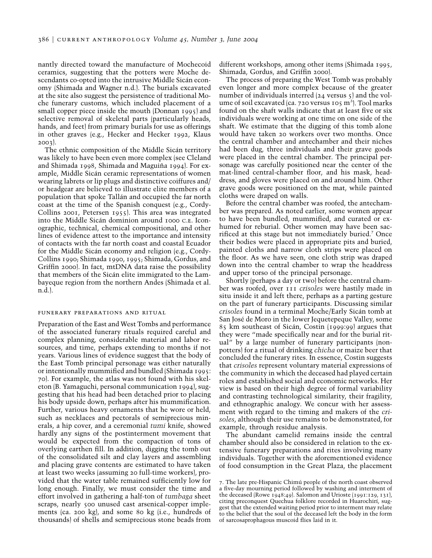nantly directed toward the manufacture of Mochecoid ceramics, suggesting that the potters were Moche descendants co-opted into the intrusive Middle Sicán economy (Shimada and Wagner n.d.). The burials excavated at the site also suggest the persistence of traditional Moche funerary customs, which included placement of a small copper piece inside the mouth (Donnan 1995) and selective removal of skeletal parts (particularly heads, hands, and feet) from primary burials for use as offerings in other graves (e.g., Hecker and Hecker 1992, Klaus 2003).

The ethnic composition of the Middle Sicán territory was likely to have been even more complex (see Cleland and Shimada 1998, Shimada and Maguiña 1994). For example, Middle Sicán ceramic representations of women wearing labrets or lip plugs and distinctive coiffures and/ or headgear are believed to illustrate elite members of a population that spoke Tallán and occupied the far north coast at the time of the Spanish conquest (e.g., Cordy-Collins 2001, Petersen 1955). This area was integrated into the Middle Sicán dominion around 1000 c.E. Iconographic, technical, chemical compositional, and other lines of evidence attest to the importance and intensity of contacts with the far north coast and coastal Ecuador for the Middle Sicán economy and religion (e.g., Cordy-Collins 1990; Shimada 1990, 1995; Shimada, Gordus, and Griffin 2000). In fact, mtDNA data raise the possibility that members of the Sicán elite immigrated to the Lambayeque region from the northern Andes (Shimada et al. n.d.).

#### funerary preparations and ritual

Preparation of the East and West Tombs and performance of the associated funerary rituals required careful and complex planning, considerable material and labor resources, and time, perhaps extending to months if not years. Various lines of evidence suggest that the body of the East Tomb principal personage was either naturally or intentionally mummified and bundled (Shimada 1995: 70). For example, the atlas was not found with his skeleton (B. Yamaguchi, personal communication 1994), suggesting that his head had been detached prior to placing his body upside down, perhaps after his mummification. Further, various heavy ornaments that he wore or held, such as necklaces and pectorals of semiprecious minerals, a hip cover, and a ceremonial *tumi* knife, showed hardly any signs of the postinterment movement that would be expected from the compaction of tons of overlying earthen fill. In addition, digging the tomb out of the consolidated silt and clay layers and assembling and placing grave contents are estimated to have taken at least two weeks (assuming 20 full-time workers), provided that the water table remained sufficiently low for long enough. Finally, we must consider the time and effort involved in gathering a half-ton of *tumbaga* sheet scraps, nearly 500 unused cast arsenical-copper implements (ca. 200 kg), and some 80 kg (i.e., hundreds of thousands) of shells and semiprecious stone beads from

different workshops, among other items (Shimada 1995, Shimada, Gordus, and Griffin 2000).

The process of preparing the West Tomb was probably even longer and more complex because of the greater number of individuals interred (24 versus 5) and the volume of soil excavated (ca. 720 versus 105 m<sup>3</sup>). Tool marks found on the shaft walls indicate that at least five or six individuals were working at one time on one side of the shaft. We estimate that the digging of this tomb alone would have taken 20 workers over two months. Once the central chamber and antechamber and their niches had been dug, three individuals and their grave goods were placed in the central chamber. The principal personage was carefully positioned near the center of the mat-lined central-chamber floor, and his mask, headdress, and gloves were placed on and around him. Other grave goods were positioned on the mat, while painted cloths were draped on walls.

Before the central chamber was roofed, the antechamber was prepared. As noted earlier, some women appear to have been bundled, mummified, and curated or exhumed for reburial. Other women may have been sacrificed at this stage but not immediately buried.7 Once their bodies were placed in appropriate pits and buried, painted cloths and narrow cloth strips were placed on the floor. As we have seen, one cloth strip was draped down into the central chamber to wrap the headdress and upper torso of the principal personage.

Shortly (perhaps a day or two) before the central chamber was roofed, over 111 *crisoles* were hastily made in situ inside it and left there, perhaps as a parting gesture on the part of funerary participants. Discussing similar *crisoles* found in a terminal Moche/Early Sicán tomb at San José de Moro in the lower Jequetepeque Valley, some  $85$  km southeast of Sicán, Costin (1999:99) argues that they were "made specifically near and for the burial ritual" by a large number of funerary participants (nonpotters) for a ritual of drinking *chicha* or maize beer that concluded the funerary rites. In essence, Costin suggests that *crisoles* represent voluntary material expressions of the community in which the deceased had played certain roles and established social and economic networks. Her view is based on their high degree of formal variability and contrasting technological similarity, their fragility, and ethnographic analogy. We concur with her assessment with regard to the timing and makers of the *crisoles*, although their use remains to be demonstrated, for example, through residue analysis.

The abundant camelid remains inside the central chamber should also be considered in relation to the extensive funerary preparations and rites involving many individuals. Together with the aforementioned evidence of food consumption in the Great Plaza, the placement

<sup>7.</sup> The late pre-Hispanic Chimú people of the north coast observed a five-day mourning period followed by washing and interment of the deceased (Rowe 1948:49). Salomon and Urioste (1991:129, 131), citing preconquest Quechua folklore recorded in Huarochirí, suggest that the extended waiting period prior to interment may relate to the belief that the soul of the deceased left the body in the form of sarcosaprophagous muscoid flies laid in it.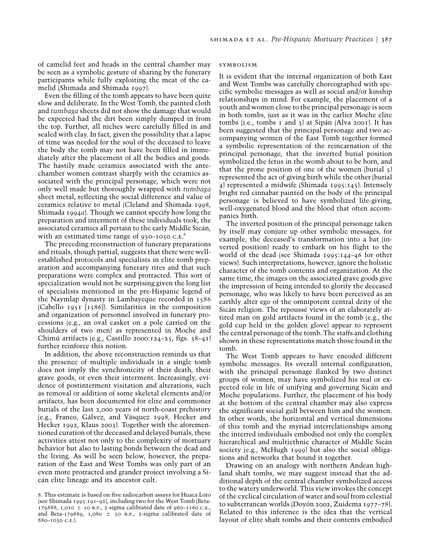of camelid feet and heads in the central chamber may be seen as a symbolic gesture of sharing by the funerary participants while fully exploiting the meat of the camelid (Shimada and Shimada 1997).

Even the filling of the tomb appears to have been quite slow and deliberate. In the West Tomb, the painted cloth and *tumbaga* sheets did not show the damage that would be expected had the dirt been simply dumped in from the top. Further, all niches were carefully filled in and sealed with clay. In fact, given the possibility that a lapse of time was needed for the soul of the deceased to leave the body the tomb may not have been filled in immediately after the placement of all the bodies and goods. The hastily made ceramics associated with the antechamber women contrast sharply with the ceramics associated with the principal personage, which were not only well made but thoroughly wrapped with *tumbaga* sheet metal, reflecting the social difference and value of ceramics relative to metal (Cleland and Shimada 1998, Shimada 1994*a*). Though we cannot specify how long the preparation and interment of these individuals took, the associated ceramics all pertain to the early Middle Sicán, with an estimated time range of  $950-1050$  C.E.<sup>8</sup>

The preceding reconstruction of funerary preparations and rituals, though partial, suggests that there were wellestablished protocols and specialists in elite tomb preparation and accompanying funerary rites and that such preparations were complex and protracted. This sort of specialization would not be surprising given the long list of specialists mentioned in the pre-Hispanic legend of the Naymlap dynasty in Lambayeque recorded in 1586 (Cabello 1951 [1586]). Similarities in the composition and organization of personnel involved in funerary processions (e.g., an oval casket on a pole carried on the shoulders of two men) as represented in Moche and Chimú artifacts (e.g., Castillo 2000:124–25, figs.  $38-41$ ) further reinforce this notion.

In addition, the above reconstruction reminds us that the presence of multiple individuals in a single tomb does not imply the synchronicity of their death, their grave goods, or even their interment. Increasingly, evidence of postinterment visitation and alterations, such as removal or addition of some skeletal elements and/or artifacts, has been documented for elite and commoner burials of the last 2,000 years of north-coast prehistory (e.g., Franco, Gálvez, and Vásquez 1998, Hecker and Hecker 1992, Klaus 2003). Together with the aforementioned curation of the deceased and delayed burials, these activities attest not only to the complexity of mortuary behavior but also to lasting bonds between the dead and the living. As will be seen below, however, the preparation of the East and West Tombs was only part of an even more protracted and grander project involving a Sicán elite lineage and its ancestor cult.

#### symbolism

It is evident that the internal organization of both East and West Tombs was carefully choreographed with specific symbolic messages as well as social and/or kinship relationships in mind. For example, the placement of a youth and women close to the principal personage is seen in both tombs, just as it was in the earlier Moche elite tombs (i.e., tombs 1 and 3) at Sipán (Alva 2001). It has been suggested that the principal personage and two accompanying women of the East Tomb together formed a symbolic representation of the reincarnation of the principal personage, that the inverted burial position symbolized the fetus in the womb about to be born, and that the prone position of one of the women (burial  $\zeta$ ) represented the act of giving birth while the other (burial 4) represented a midwife (Shimada 1995:145). Intensely bright red cinnabar painted on the body of the principal personage is believed to have symbolized life-giving, well-oxygenated blood and the blood that often accompanies birth.

The inverted position of the principal personage taken by itself may conjure up other symbolic messages, for example, the deceased's transformation into a bat (inverted position) ready to embark on his flight to the world of the dead (see Shimada 1995:144–46 for other views). Such interpretations, however, ignore the holistic character of the tomb contents and organization. At the same time, the images on the associated grave goods give the impression of being intended to glorify the deceased personage, who was likely to have been perceived as an earthly alter ego of the omnipotent central deity of the Sicán religion. The repoussé views of an elaborately attired man on gold artifacts found in the tomb (e.g., the gold cup held in the golden glove) appear to represent the central personage of the tomb. The staffs and clothing shown in these representations match those found in the tomb.

The West Tomb appears to have encoded different symbolic messages. Its overall internal configuration, with the principal personage flanked by two distinct groups of women, may have symbolized his real or expected role in life of unifying and governing Sicán and Moche populations. Further, the placement of his body at the bottom of the central chamber may also express the significant social gulf between him and the women. In other words, the horizontal and vertical dimensions of this tomb and the myriad interrelationships among the interred individuals embodied not only the complex hierarchical and multiethnic character of Middle Sicán society (e.g., McHugh 1999) but also the social obligations and networks that bound it together.

Drawing on an analogy with northern Andean highland shaft tombs, we may suggest instead that the additional depth of the central chamber symbolized access to the watery underworld. This view invokes the concept of the cyclical circulation of water and soul from celestial to subterranean worlds (Doyón 2002, Zuidema 1977–78). Related to this inference is the idea that the vertical layout of elite shaft tombs and their contents embodied

<sup>8.</sup> This estimate is based on five radiocarbon assays for Huaca Loro (see Shimada 1995:191–92), including two for the West Tomb (Beta-179888, 1,010  $\pm$  50 B.P., 2-sigma calibrated date of 960–1160 C.E., and Beta-179889, 1,080  $\pm$  50 B.P., 2-sigma calibrated date of 880–1030 c.e.).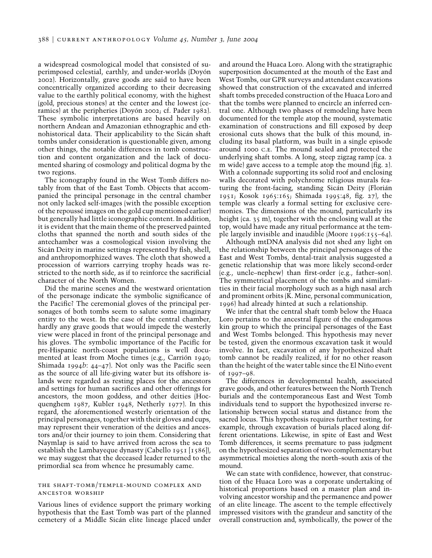a widespread cosmological model that consisted of superimposed celestial, earthly, and under-worlds (Doyón 2002). Horizontally, grave goods are said to have been concentrically organized according to their decreasing value to the earthly political economy, with the highest (gold, precious stones) at the center and the lowest (ceramics) at the peripheries (Doyón 2002; cf. Pader 1982). These symbolic interpretations are based heavily on northern Andean and Amazonian ethnographic and ethnohistorical data. Their applicability to the Sicán shaft tombs under consideration is questionable given, among other things, the notable differences in tomb construction and content organization and the lack of documented sharing of cosmology and political dogma by the two regions.

The iconography found in the West Tomb differs notably from that of the East Tomb. Objects that accompanied the principal personage in the central chamber not only lacked self-images (with the possible exception of the repoussé images on the gold cup mentioned earlier) but generally had little iconographic content. In addition, it is evident that the main theme of the preserved painted cloths that spanned the north and south sides of the antechamber was a cosmological vision involving the Sicán Deity in marine settings represented by fish, shell, and anthropomorphized waves. The cloth that showed a procession of warriors carrying trophy heads was restricted to the north side, as if to reinforce the sacrificial character of the North Women.

Did the marine scenes and the westward orientation of the personage indicate the symbolic significance of the Pacific? The ceremonial gloves of the principal personages of both tombs seem to salute some imaginary entity to the west. In the case of the central chamber, hardly any grave goods that would impede the westerly view were placed in front of the principal personage and his gloves. The symbolic importance of the Pacific for pre-Hispanic north-coast populations is well documented at least from Moche times (e.g., Carrión 1940; Shimada 1994*b*: 44–47). Not only was the Pacific seen as the source of all life-giving water but its offshore islands were regarded as resting places for the ancestors and settings for human sacrifices and other offerings for ancestors, the moon goddess, and other deities (Hocquenghem 1987, Kubler 1948, Netherly 1977). In this regard, the aforementioned westerly orientation of the principal personages, together with their gloves and cups, may represent their veneration of the deities and ancestors and/or their journey to join them. Considering that Naymlap is said to have arrived from across the sea to establish the Lambayeque dynasty (Cabello 1951 [1586]), we may suggest that the deceased leader returned to the primordial sea from whence he presumably came.

#### the shaft-tomb/temple-mound complex and ancestor worship

Various lines of evidence support the primary working hypothesis that the East Tomb was part of the planned cemetery of a Middle Sicán elite lineage placed under and around the Huaca Loro. Along with the stratigraphic superposition documented at the mouth of the East and West Tombs, our GPR surveys and attendant excavations showed that construction of the excavated and inferred shaft tombs preceded construction of the Huaca Loro and that the tombs were planned to encircle an inferred central one. Although two phases of remodeling have been documented for the temple atop the mound, systematic examination of constructions and fill exposed by deep erosional cuts shows that the bulk of this mound, including its basal platform, was built in a single episode around 1000 c.e. The mound sealed and protected the underlying shaft tombs. A long, steep zigzag ramp (ca. 2 m wide) gave access to a temple atop the mound (fig. 2). With a colonnade supporting its solid roof and enclosing walls decorated with polychrome religious murals featuring the front-facing, standing Sicán Deity (Florián 1951; Kosok 1965:165; Shimada 1995:48, fig. 27), the temple was clearly a formal setting for exclusive ceremonies. The dimensions of the mound, particularly its height (ca. 35 m), together with the enclosing wall at the top, would have made any ritual performance at the temple largely invisible and inaudible (Moore 1996:155–64).

Although mtDNA analysis did not shed any light on the relationship between the principal personages of the East and West Tombs, dental-trait analysis suggested a genetic relationship that was more likely second-order (e.g., uncle–nephew) than first-order (e.g., father–son). The symmetrical placement of the tombs and similarities in their facial morphology such as a high nasal arch and prominent orbits (K. Mine, personal communication, 1996) had already hinted at such a relationship.

We infer that the central shaft tomb below the Huaca Loro pertains to the ancestral figure of the endogamous kin group to which the principal personages of the East and West Tombs belonged. This hypothesis may never be tested, given the enormous excavation task it would involve. In fact, excavation of any hypothesized shaft tomb cannot be readily realized, if for no other reason than the height of the water table since the El Niño event of 1997–98.

The differences in developmental health, associated grave goods, and other features between the North Trench burials and the contemporaneous East and West Tomb individuals tend to support the hypothesized inverse relationship between social status and distance from the sacred locus. This hypothesis requires further testing, for example, through excavation of burials placed along different orientations. Likewise, in spite of East and West Tomb differences, it seems premature to pass judgment on the hypothesized separation of two complementary but asymmetrical moieties along the north–south axis of the mound.

We can state with confidence, however, that construction of the Huaca Loro was a corporate undertaking of historical proportions based on a master plan and involving ancestor worship and the permanence and power of an elite lineage. The ascent to the temple effectively impressed visitors with the grandeur and sanctity of the overall construction and, symbolically, the power of the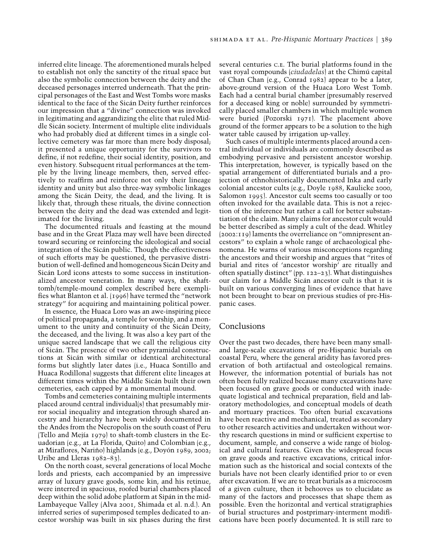inferred elite lineage. The aforementioned murals helped to establish not only the sanctity of the ritual space but also the symbolic connection between the deity and the deceased personages interred underneath. That the principal personages of the East and West Tombs wore masks identical to the face of the Sicán Deity further reinforces our impression that a "divine" connection was invoked in legitimating and aggrandizing the elite that ruled Middle Sica´n society. Interment of multiple elite individuals who had probably died at different times in a single collective cemetery was far more than mere body disposal; it presented a unique opportunity for the survivors to define, if not redefine, their social identity, position, and even history. Subsequent ritual performances at the temple by the living lineage members, then, served effectively to reaffirm and reinforce not only their lineage identity and unity but also three-way symbolic linkages among the Sicán Deity, the dead, and the living. It is likely that, through these rituals, the divine connection between the deity and the dead was extended and legitimated for the living.

The documented rituals and feasting at the mound base and in the Great Plaza may well have been directed toward securing or reinforcing the ideological and social integration of the Sicán public. Though the effectiveness of such efforts may be questioned, the pervasive distribution of well-defined and homogeneous Sicán Deity and Sicán Lord icons attests to some success in institutionalized ancestor veneration. In many ways, the shafttomb/temple-mound complex described here exemplifies what Blanton et al. (1996) have termed the "network strategy" for acquiring and maintaining political power.

In essence, the Huaca Loro was an awe-inspiring piece of political propaganda, a temple for worship, and a monument to the unity and continuity of the Sican Deity, the deceased, and the living. It was also a key part of the unique sacred landscape that we call the religious city of Sica´n. The presence of two other pyramidal constructions at Sicán with similar or identical architectural forms but slightly later dates (i.e., Huaca Sontillo and Huaca Rodillona) suggests that different elite lineages at different times within the Middle Sicán built their own cemeteries, each capped by a monumental mound.

Tombs and cemeteries containing multiple interments placed around central individual(s) that presumably mirror social inequality and integration through shared ancestry and hierarchy have been widely documented in the Andes from the Necropolis on the south coast of Peru (Tello and Mejía 1979) to shaft-tomb clusters in the Ecuadorian (e.g., at La Florida, Quito) and Colombian (e.g., at Miraflores, Nariño) highlands (e.g., Doyón 1989, 2002; Uribe and Lleras 1982–83).

On the north coast, several generations of local Moche lords and priests, each accompanied by an impressive array of luxury grave goods, some kin, and his retinue, were interred in spacious, roofed burial chambers placed deep within the solid adobe platform at Sipan in the mid-Lambayeque Valley (Alva 2001, Shimada et al. n.d.). An inferred series of superimposed temples dedicated to ancestor worship was built in six phases during the first several centuries c.e. The burial platforms found in the vast royal compounds (*ciudadelas*) at the Chimu´ capital of Chan Chan (e.g., Conrad 1982) appear to be a later, above-ground version of the Huaca Loro West Tomb. Each had a central burial chamber (presumably reserved for a deceased king or noble) surrounded by symmetrically placed smaller chambers in which multiple women were buried (Pozorski 1971). The placement above ground of the former appears to be a solution to the high water table caused by irrigation up-valley.

Such cases of multiple interments placed around a central individual or individuals are commonly described as embodying pervasive and persistent ancestor worship. This interpretation, however, is typically based on the spatial arrangement of differentiated burials and a projection of ethnohistorically documented Inka and early colonial ancestor cults (e.g., Doyle 1988, Kaulicke 2000, Salomon 1995). Ancestor cult seems too casually or too often invoked for the available data. This is not a rejection of the inference but rather a call for better substantiation of the claim. Many claims for ancestor cult would be better described as simply a cult of the dead. Whitley (2002:119) laments the overreliance on "omnipresent ancestors" to explain a whole range of archaeological phenomena. He warns of various misconceptions regarding the ancestors and their worship and argues that "rites of burial and rites of 'ancestor worship' are ritually and often spatially distinct" (pp. 122–23). What distinguishes our claim for a Middle Sicán ancestor cult is that it is built on various converging lines of evidence that have not been brought to bear on previous studies of pre-Hispanic cases.

#### Conclusions

Over the past two decades, there have been many smalland large-scale excavations of pre-Hispanic burials on coastal Peru, where the general aridity has favored preservation of both artifactual and osteological remains. However, the information potential of burials has not often been fully realized because many excavations have been focused on grave goods or conducted with inadequate logistical and technical preparation, field and laboratory methodologies, and conceptual models of death and mortuary practices. Too often burial excavations have been reactive and mechanical, treated as secondary to other research activities and undertaken without worthy research questions in mind or sufficient expertise to document, sample, and conserve a wide range of biological and cultural features. Given the widespread focus on grave goods and reactive excavations, critical information such as the historical and social contexts of the burials have not been clearly identified prior to or even after excavation. If we are to treat burials as a microcosm of a given culture, then it behooves us to elucidate as many of the factors and processes that shape them as possible. Even the horizontal and vertical stratigraphies of burial structures and postprimary-interment modifications have been poorly documented. It is still rare to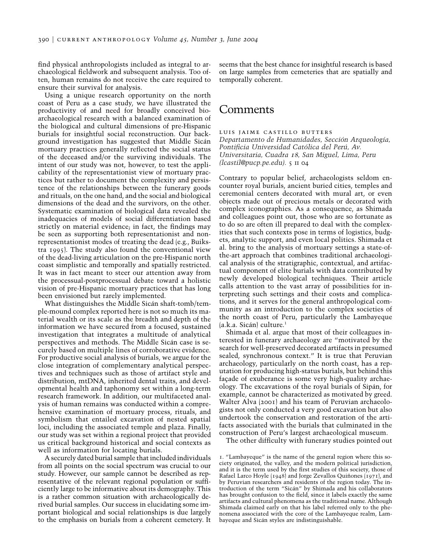find physical anthropologists included as integral to archaeological fieldwork and subsequent analysis. Too often, human remains do not receive the care required to ensure their survival for analysis.

Using a unique research opportunity on the north coast of Peru as a case study, we have illustrated the productivity of and need for broadly conceived bioarchaeological research with a balanced examination of the biological and cultural dimensions of pre-Hispanic burials for insightful social reconstruction. Our background investigation has suggested that Middle Sicán mortuary practices generally reflected the social status of the deceased and/or the surviving individuals. The intent of our study was not, however, to test the applicability of the representationist view of mortuary practices but rather to document the complexity and persistence of the relationships between the funerary goods and rituals, on the one hand, and the social and biological dimensions of the dead and the survivors, on the other. Systematic examination of biological data revealed the inadequacies of models of social differentiation based strictly on material evidence; in fact, the findings may be seen as supporting both representationist and nonrepresentationist modes of treating the dead (e.g., Buikstra 1995). The study also found the conventional view of the dead-living articulation on the pre-Hispanic north coast simplistic and temporally and spatially restricted. It was in fact meant to steer our attention away from the processual-postprocessual debate toward a holistic vision of pre-Hispanic mortuary practices that has long been envisioned but rarely implemented.

What distinguishes the Middle Sicán shaft-tomb/temple-mound complex reported here is not so much its material wealth or its scale as the breadth and depth of the information we have secured from a focused, sustained investigation that integrates a multitude of analytical perspectives and methods. The Middle Sicán case is securely based on multiple lines of corroborative evidence. For productive social analysis of burials, we argue for the close integration of complementary analytical perspectives and techniques such as those of artifact style and distribution, mtDNA, inherited dental traits, and developmental health and taphonomy set within a long-term research framework. In addition, our multifaceted analysis of human remains was conducted within a comprehensive examination of mortuary process, rituals, and symbolism that entailed excavation of nested spatial loci, including the associated temple and plaza. Finally, our study was set within a regional project that provided us critical background historical and social contexts as well as information for locating burials.

A securely dated burial sample that included individuals from all points on the social spectrum was crucial to our study. However, our sample cannot be described as representative of the relevant regional population or sufficiently large to be informative about its demography. This is a rather common situation with archaeologically derived burial samples. Our success in elucidating some important biological and social relationships is due largely to the emphasis on burials from a coherent cemetery. It seems that the best chance for insightful research is based on large samples from cemeteries that are spatially and temporally coherent.

### Comments

luis jaime castillo butters *Departamento de Humanidades, Seccio´n Arqueologı´a,* Pontificia Universidad Católica del Perú, Av. *Universitaria, Cuadra* <sup>18</sup>*, San Miguel, Lima, Peru (lcastil@pucp.pe.edu).* 5 ii 04

Contrary to popular belief, archaeologists seldom encounter royal burials, ancient buried cities, temples and ceremonial centers decorated with mural art, or even objects made out of precious metals or decorated with complex iconographies. As a consequence, as Shimada and colleagues point out, those who are so fortunate as to do so are often ill prepared to deal with the complexities that such contexts pose in terms of logistics, budgets, analytic support, and even local politics. Shimada et al. bring to the analysis of mortuary settings a state-ofthe-art approach that combines traditional archaeological analysis of the stratigraphic, contextual, and artifactual component of elite burials with data contributed by newly developed biological techniques. Their article calls attention to the vast array of possibilities for interpreting such settings and their costs and complications, and it serves for the general anthropological community as an introduction to the complex societies of the north coast of Peru, particularly the Lambayeque  $(a.k.a. Sicán)$  culture.<sup>1</sup>

Shimada et al. argue that most of their colleagues interested in funerary archaeology are "motivated by the search for well-preserved decorated artifacts in presumed sealed, synchronous context." It is true that Peruvian archaeology, particularly on the north coast, has a reputation for producing high-status burials, but behind this facade of exuberance is some very high-quality archaeology. The excavations of the royal burials of Sipán, for example, cannot be characterized as motivated by greed. Walter Alva (2001) and his team of Peruvian archaeologists not only conducted a very good excavation but also undertook the conservation and restoration of the artifacts associated with the burials that culminated in the construction of Peru's largest archaeological museum.

The other difficulty with funerary studies pointed out

1. "Lambayeque" is the name of the general region where this society originated, the valley, and the modern political jurisdiction, and it is the term used by the first studies of this society, those of Rafael Larco Hoyle (1948) and Jorge Zevallos Quiñones (1971), and by Peruvian researchers and residents of the region today. The introduction of the term "Sicán" by Shimada and his collaborators has brought confusion to the field, since it labels exactly the same artifacts and cultural phenomena as the traditional name. Although Shimada claimed early on that his label referred only to the phenomena associated with the core of the Lambayeque realm, Lambayeque and Sicán styles are indistinguishable.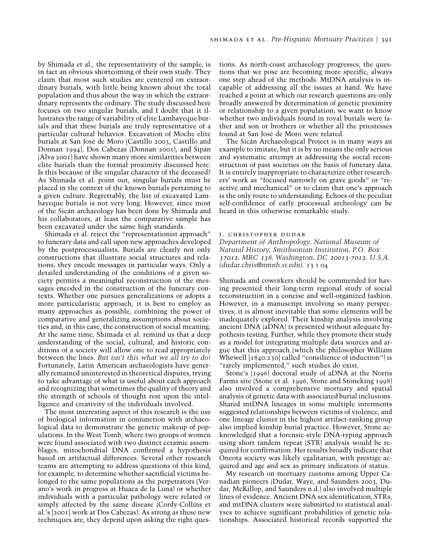by Shimada et al., the representativity of the sample, is in fact an obvious shortcoming of their own study. They claim that most such studies are centered on extraordinary burials, with little being known about the total population and thus about the way in which the extraordinary represents the ordinary. The study discussed here focuses on two singular burials, and I doubt that it illustrates the range of variability of elite Lambayeque burials and that these burials are truly representative of a particular cultural behavior. Excavation of Moche elite burials at San Jose´ de Moro (Castillo 2003, Castillo and Donnan 1994), Dos Cabezas (Donnan 2001), and Sipán (Alva 2001) have shown many more similarities between elite burials than the formal proximity discussed here. Is this because of the singular character of the deceased? As Shimada et al. point out, singular burials must be placed in the context of the known burials pertaining to a given culture. Regrettably, the list of excavated Lambayeque burials is not very long. However, since most of the Sica´n archaeology has been done by Shimada and his collaborators, at least the comparative sample has been excavated under the same high standards.

Shimada et al. reject the "representationist approach" to funerary data and call upon new approaches developed by the postprocessualists. Burials are clearly not only constructions that illustrate social structures and relations; they encode messages in particular ways. Only a detailed understanding of the conditions of a given society permits a meaningful reconstruction of the messages encoded in the construction of the funerary contexts. Whether one pursues generalizations or adopts a more particularistic approach, it is best to employ as many approaches as possible, combining the power of comparative and generalizing assumptions about societies and, in this case, the construction of social meaning. At the same time, Shimada et al. remind us that a deep understanding of the social, cultural, and historic conditions of a society will allow one to read appropriately between the lines. *But isn't this what we all try to do?* Fortunately, Latin American archaeologists have generally remained uninterested in theoretical disputes, trying to take advantage of what is useful about each approach and recognizing that sometimes the quality of theory and the strength of schools of thought rest upon the intelligence and creativity of the individuals involved.

The most interesting aspect of this research is the use of biological information in conjunction with archaeological data to demonstrate the genetic makeup of populations. In the West Tomb, where two groups of women were found associated with two distinct ceramic assemblages, mitochondrial DNA confirmed a hypothesis based on artifactual differences. Several other research teams are attempting to address questions of this kind, for example, to determine whether sacrificial victims belonged to the same populations as the perpetrators (Verano's work in progress at Huaca de la Luna) or whether individuals with a particular pathology were related or simply affected by the same disease (Cordy-Collins et al.'s [2001] work at Dos Cabezas). As strong as these new techniques are, they depend upon asking the right questions. As north-coast archaeology progresses, the questions that we pose are becoming more specific, always one step ahead of the methods. MtDNA analysis is incapable of addressing all the issues at hand. We have reached a point at which our research questions are only broadly answered by determination of genetic proximity or relationship to a given population; we want to know whether two individuals found in royal burials were father and son or brothers or whether all the priestesses found at San Jose´ de Moro were related.

The Sicán Archaeological Project is in many ways an example to imitate, but it is by no means the only serious and systematic attempt at addressing the social reconstruction of past societies on the basis of funerary data. It is entirely inappropriate to characterize other researchers' work as "focused narrowly on grave goods" or "reactive and mechanical" or to claim that one's approach is the only route to understanding. Echoes of the peculiar self-confidence of early processual archeology can be heard in this otherwise remarkable study.

#### j. christopher dudar

*Department of Anthropology, National Museum of Natural History, Smithsonian Institution, P.O. Box* <sup>37012</sup>*, MRC* 138*, Washington, DC* 20013-7012*, U.S.A. (dudar.chris@nmnh.si.edu).* 13 i 04

Shimada and coworkers should be commended for having presented their long-term regional study of social reconstruction in a concise and well-organized fashion. However, in a manuscript involving so many perspectives, it is almost inevitable that some elements will be inadequately explored. Their kinship analysis involving ancient DNA (aDNA) is presented without adequate hypothesis testing. Further, while they promote their study as a model for integrating multiple data sources and argue that this approach (which the philosopher William Whewell [1840:230] called "consilience of induction") is "rarely implemented," such studies do exist.

Stone's (1996) doctoral study of aDNA at the Norris Farms site (Stone et al. 1996, Stone and Stoneking 1998) also involved a comprehensive mortuary and spatial analysis of genetic data with associated burial inclusions. Shared mtDNA lineages in some multiple interments suggested relationships between victims of violence, and one lineage cluster in the highest artifact-ranking group also implied kinship burial practice. However, Stone acknowledged that a forensic-style DNA-typing approach using short tandem repeat (STR) analysis would be required for confirmation. Her results broadly indicate that Oneota society was likely egalitarian, with prestige acquired and age and sex as primary indicators of status.

My research on mortuary customs among Upper Canadian pioneers (Dudar, Waye, and Saunders 2003, Dudar, McKillop, and Saunders n.d.) also involved multiple lines of evidence. Ancient DNA sex identification, STRs, and mtDNA clusters were submitted to statistical analyses to achieve significant probabilities of genetic relationships. Associated historical records supported the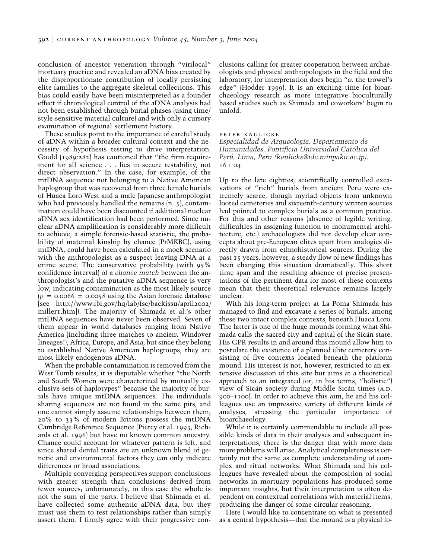conclusion of ancestor veneration through "virilocal" mortuary practice and revealed an aDNA bias created by the disproportionate contribution of locally persisting elite families to the aggregate skeletal collections. This bias could easily have been misinterpreted as a founder effect if chronological control of the aDNA analysis had not been established through burial phases (using time/ style-sensitive material culture) and with only a cursory examination of regional settlement history.

These studies point to the importance of careful study of aDNA within a broader cultural context and the necessity of hypothesis testing to drive interpretation. Gould (1989:282) has cautioned that "the firm requirement for all science . . . lies in secure testability, not direct observation." In the case, for example, of the mtDNA sequence not belonging to a Native American haplogroup that was recovered from three female burials of Huaca Loro West and a male Japanese anthropologist who had previously handled the remains (n. 5), contamination could have been discounted if additional nuclear aDNA sex identification had been performed. Since nuclear aDNA amplification is considerably more difficult to achieve, a simple forensic-based statistic, the probability of maternal kinship by chance (PrMKBC), using mtDNA, could have been calculated in a mock scenario with the anthropologist as a suspect leaving DNA at a crime scene. The conservative probability (with 95% confidence interval) of a *chance match* between the anthropologist's and the putative aDNA sequence is very low, indicating contamination as the most likely source  $(p = 0.0066 \pm 0.0058$  using the Asian forensic database [see http://www.fbi.gov/hq/lab/fsc/backissu/april2002/ miller1.htm]). The majority of Shimada et al.'s other mtDNA sequences have never been observed. Seven of them appear in world databases ranging from Native America (including three matches to ancient Windover lineages!), Africa, Europe, and Asia, but since they belong to established Native American haplogroups, they are most likely endogenous aDNA.

When the probable contamination is removed from the West Tomb results, it is disputable whether "the North and South Women were characterized by mutually exclusive sets of haplotypes" because the majority of burials have unique mtDNA sequences. The individuals sharing sequences are not found in the same pits, and one cannot simply assume relationships between them; 20% to 33% of modern Britons possess the mtDNA Cambridge Reference Sequence (Piercy et al. 1993, Richards et al. 1996) but have no known common ancestry. Chance could account for whatever pattern is left, and since shared dental traits are an unknown blend of genetic and environmental factors they can only indicate differences or broad associations.

Multiple converging perspectives support conclusions with greater strength than conclusions derived from fewer sources; unfortunately, in this case the whole is not the sum of the parts. I believe that Shimada et al. have collected some authentic aDNA data, but they must use them to test relationships rather than simply assert them. I firmly agree with their progressive conclusions calling for greater cooperation between archaeologists and physical anthropologists in the field and the laboratory, for interpretation does begin "at the trowel's edge" (Hodder 1999). It is an exciting time for bioarchaeology research as more integrative bioculturally based studies such as Shimada and coworkers' begin to unfold.

#### peter kaulicke

*Especialidad de Arqueologı´a, Departamento de Humanidades, Pontificia Universidad Cato´lica del Peru´ , Lima, Peru (kaulicke@idc.minpaku.ac.jp).* 16 i 04

Up to the late eighties, scientifically controlled excavations of "rich" burials from ancient Peru were extremely scarce, though myriad objects from unknown looted cemeteries and sixteenth-century written sources had pointed to complex burials as a common practice. For this and other reasons (absence of legible writing, difficulties in assigning function to monumental architecture, etc.) archaeologists did not develop clear concepts about pre-European elites apart from analogies directly drawn from ethnohistorical sources. During the past 15 years, however, a steady flow of new findings has been changing this situation dramatically. This short time span and the resulting absence of precise presentations of the pertinent data for most of these contexts mean that their theoretical relevance remains largely unclear.

With his long-term project at La Poma Shimada has managed to find and excavate a series of burials, among these two intact complex contexts, beneath Huaca Loro. The latter is one of the huge mounds forming what Shimada calls the sacred city and capital of the Sicán state. His GPR results in and around this mound allow him to postulate the existence of a planned elite cemetery consisting of five contexts located beneath the platform mound. His interest is not, however, restricted to an extensive discussion of this site but aims at a theoretical approach to an integrated (or, in his terms, "holistic") view of Sicán society during Middle Sicán times (A.D. 900–1100). In order to achieve this aim, he and his colleagues use an impressive variety of different kinds of analyses, stressing the particular importance of bioarchaeology.

While it is certainly commendable to include all possible kinds of data in their analyses and subsequent interpretations, there is the danger that with more data more problems will arise. Analytical completeness is certainly not the same as complete understanding of complex and ritual networks. What Shimada and his colleagues have revealed about the composition of social networks in mortuary populations has produced some important insights, but their interpretation is often dependent on contextual correlations with material items, producing the danger of some circular reasoning.

Here I would like to concentrate on what is presented as a central hypothesis—that the mound is a physical fo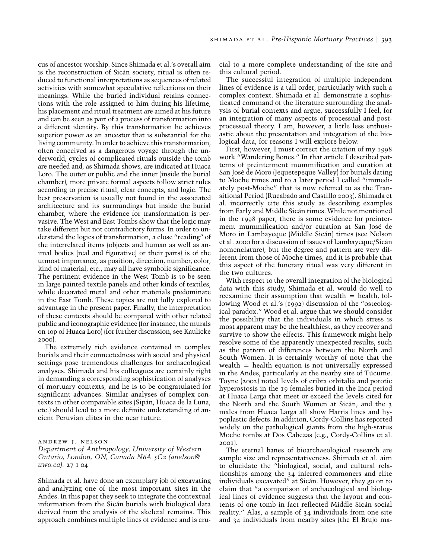cus of ancestor worship. Since Shimada et al.'s overall aim is the reconstruction of Sicán society, ritual is often reduced to functional interpretations as sequences of related activities with somewhat speculative reflections on their meanings. While the buried individual retains connections with the role assigned to him during his lifetime, his placement and ritual treatment are aimed at his future and can be seen as part of a process of transformation into a different identity. By this transformation he achieves superior power as an ancestor that is substantial for the living community. In order to achieve this transformation, often conceived as a dangerous voyage through the underworld, cycles of complicated rituals outside the tomb are needed and, as Shimada shows, are indicated at Huaca Loro. The outer or public and the inner (inside the burial chamber), more private formal aspects follow strict rules according to precise ritual, clear concepts, and logic. The best preservation is usually not found in the associated architecture and its surroundings but inside the burial chamber, where the evidence for transformation is pervasive. The West and East Tombs show that the logic may take different but not contradictory forms. In order to understand the logics of transformation, a close "reading" of the interrelated items (objects and human as well as animal bodies [real and figurative] or their parts) is of the utmost importance, as position, direction, number, color, kind of material, etc., may all have symbolic significance. The pertinent evidence in the West Tomb is to be seen in large painted textile panels and other kinds of textiles, while decorated metal and other materials predominate in the East Tomb. These topics are not fully explored to advantage in the present paper. Finally, the interpretation of these contexts should be compared with other related public and iconographic evidence (for instance, the murals on top of Huaca Loro) (for further discussion, see Kaulicke 2000).

The extremely rich evidence contained in complex burials and their connectedness with social and physical settings pose tremendous challenges for archaeological analyses. Shimada and his colleagues are certainly right in demanding a corresponding sophistication of analyses of mortuary contexts, and he is to be congratulated for significant advances. Similar analyses of complex contexts in other comparable sites (Sipán, Huaca de la Luna, etc.) should lead to a more definite understanding of ancient Peruvian elites in the near future.

#### andrew j. nelson

*Department of Anthropology, University of Western Ontario, London, ON, Canada N*6*A* <sup>5</sup>*C*<sup>2</sup> *(anelson@ uwo.ca).* 27 i 04

Shimada et al. have done an exemplary job of excavating and analyzing one of the most important sites in the Andes. In this paper they seek to integrate the contextual information from the Sicán burials with biological data derived from the analysis of the skeletal remains. This approach combines multiple lines of evidence and is crucial to a more complete understanding of the site and this cultural period.

The successful integration of multiple independent lines of evidence is a tall order, particularly with such a complex context. Shimada et al. demonstrate a sophisticated command of the literature surrounding the analysis of burial contexts and argue, successfully I feel, for an integration of many aspects of processual and postprocessual theory. I am, however, a little less enthusiastic about the presentation and integration of the biological data, for reasons I will explore below.

First, however, I must correct the citation of my 1998 work "Wandering Bones." In that article I described patterns of preinterment mummification and curation at San Jose´ de Moro (Jequetepeque Valley) for burials dating to Moche times and to a later period I called "immediately post-Moche" that is now referred to as the Transitional Period (Rucabado and Castillo 2003). Shimada et al. incorrectly cite this study as describing examples from Early and Middle Sicán times. While not mentioned in the 1998 paper, there is some evidence for preinterment mummification and/or curation at San Jose´ de Moro in Lambayeque (Middle Sicán) times (see Nelson et al. 2000 for a discussion of issues of Lambayeque/Sicán nomenclature), but the degree and pattern are very different from those of Moche times, and it is probable that this aspect of the funerary ritual was very different in the two cultures.

With respect to the overall integration of the biological data with this study, Shimada et al. would do well to reexamine their assumption that wealth  $=$  health, following Wood et al.'s (1992) discussion of the "osteological paradox." Wood et al. argue that we should consider the possibility that the individuals in which stress is most apparent may be the healthiest, as they recover and survive to show the effects. This framework might help resolve some of the apparently unexpected results, such as the pattern of differences between the North and South Women. It is certainly worthy of note that the wealth  $=$  health equation is not universally expressed in the Andes, particularly at the nearby site of Tu´ cume. Toyne (2002) noted levels of cribra orbitalia and porotic hyperostosis in the 19 females buried in the Inca period at Huaca Larga that meet or exceed the levels cited for the North and the South Women at Sicán, and the 3 males from Huaca Larga all show Harris lines and hypoplastic defects. In addition, Cordy-Collins has reported widely on the pathological giants from the high-status Moche tombs at Dos Cabezas (e.g., Cordy-Collins et al. 2001).

The eternal banes of bioarchaeological research are sample size and representativeness. Shimada et al. aim to elucidate the "biological, social, and cultural relationships among the 34 inferred commoners and elite individuals excavated" at Sicán. However, they go on to claim that "a comparison of archaeological and biological lines of evidence suggests that the layout and contents of one tomb in fact reflected Middle Sicán social reality." Alas, a sample of 34 individuals from one site and 34 individuals from nearby sites (the El Brujo ma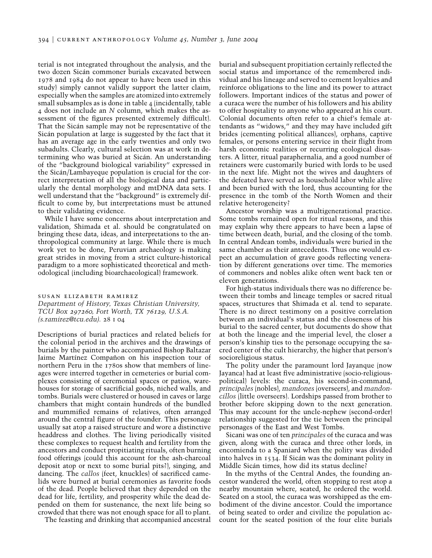terial is not integrated throughout the analysis, and the two dozen Sicán commoner burials excavated between 1978 and 1984 do not appear to have been used in this study) simply cannot validly support the latter claim, especially when the samples are atomized into extremely small subsamples as is done in table 4 (incidentally, table 4 does not include an *N* column, which makes the assessment of the figures presented extremely difficult). That the Sican sample may not be representative of the Sicán population at large is suggested by the fact that it has an average age in the early twenties and only two subadults. Clearly, cultural selection was at work in determining who was buried at Sicán. An understanding of the "background biological variability" expressed in the Sicán/Lambayeque population is crucial for the correct interpretation of all the biological data and particularly the dental morphology and mtDNA data sets. I well understand that the "background" is extremely difficult to come by, but interpretations must be attuned to their validating evidence.

While I have some concerns about interpretation and validation, Shimada et al. should be congratulated on bringing these data, ideas, and interpretations to the anthropological community at large. While there is much work yet to be done, Peruvian archaeology is making great strides in moving from a strict culture-historical paradigm to a more sophisticated theoretical and methodological (including bioarchaeological) framework.

susan elizabeth ramirez *Department of History, Texas Christian University, TCU Box* 297260*, Fort Worth, TX* 76129*, U.S.A. (s.ramirez@tcu.edu).* 28 i 04

Descriptions of burial practices and related beliefs for the colonial period in the archives and the drawings of burials by the painter who accompanied Bishop Baltazar Jaime Martínez Compañon on his inspection tour of northern Peru in the 1780s show that members of lineages were interred together in cemeteries or burial complexes consisting of ceremonial spaces or patios, warehouses for storage of sacrificial goods, niched walls, and tombs. Burials were clustered or housed in caves or large chambers that might contain hundreds of the bundled and mummified remains of relatives, often arranged around the central figure of the founder. This personage usually sat atop a raised structure and wore a distinctive headdress and clothes. The living periodically visited these complexes to request health and fertility from the ancestors and conduct propitiating rituals, often burning food offerings (could this account for the ash-charcoal deposit atop or next to some burial pits?), singing, and dancing. The *callos* (feet, knuckles) of sacrificed camelids were burned at burial ceremonies as favorite foods of the dead. People believed that they depended on the dead for life, fertility, and prosperity while the dead depended on them for sustenance, the next life being so crowded that there was not enough space for all to plant.

The feasting and drinking that accompanied ancestral

burial and subsequent propitiation certainly reflected the social status and importance of the remembered individual and his lineage and served to cement loyalties and reinforce obligations to the line and its power to attract followers. Important indices of the status and power of a curaca were the number of his followers and his ability to offer hospitality to anyone who appeared at his court. Colonial documents often refer to a chief's female attendants as "widows," and they may have included gift brides (cementing political alliances), orphans, captive females, or persons entering service in their flight from harsh economic realities or recurring ecological disasters. A litter, ritual paraphernalia, and a good number of retainers were customarily buried with lords to be used in the next life. Might not the wives and daughters of the defeated have served as household labor while alive and been buried with the lord, thus accounting for the presence in the tomb of the North Women and their relative heterogeneity?

Ancestor worship was a multigenerational practice. Some tombs remained open for ritual reasons, and this may explain why there appears to have been a lapse of time between death, burial, and the closing of the tomb. In central Andean tombs, individuals were buried in the same chamber as their antecedents. Thus one would expect an accumulation of grave goods reflecting veneration by different generations over time. The memories of commoners and nobles alike often went back ten or eleven generations.

For high-status individuals there was no difference between their tombs and lineage temples or sacred ritual spaces, structures that Shimada et al. tend to separate. There is no direct testimony on a positive correlation between an individual's status and the closeness of his burial to the sacred center, but documents do show that at both the lineage and the imperial level, the closer a person's kinship ties to the personage occupying the sacred center of the cult hierarchy, the higher that person's socioreligious status.

The polity under the paramount lord Jayanque (now Jayanca) had at least five administrative (socio-religiouspolitical) levels: the curaca, his second-in-command, *principales* (nobles), *mandones* (overseers), and *mandoncillos* (little overseers). Lordships passed from brother to brother before skipping down to the next generation. This may account for the uncle-nephew (second-order) relationship suggested for the tie between the principal personages of the East and West Tombs.

Sicani was one of ten *principales* of the curaca and was given, along with the curaca and three other lords, in encomienda to a Spaniard when the polity was divided into halves in 1534. If Sicán was the dominant polity in Middle Sicán times, how did its status decline?

In the myths of the Central Andes, the founding ancestor wandered the world, often stopping to rest atop a nearby mountain where, seated, he ordered the world. Seated on a stool, the curaca was worshipped as the embodiment of the divine ancestor. Could the importance of being seated to order and civilize the population account for the seated position of the four elite burials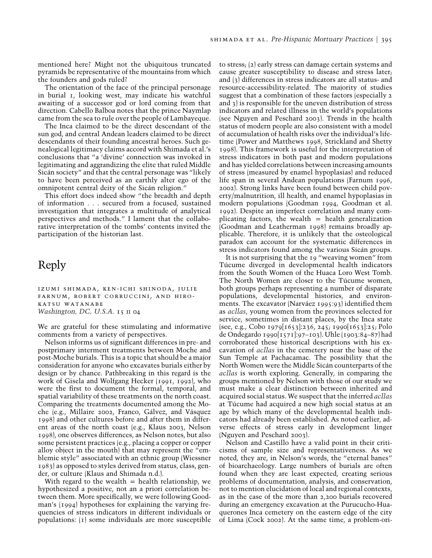mentioned here? Might not the ubiquitous truncated pyramids be representative of the mountains from which the founders and gods ruled?

The orientation of the face of the principal personage in burial 1, looking west, may indicate his watchful awaiting of a successor god or lord coming from that direction. Cabello Balboa notes that the prince Naymlap came from the sea to rule over the people of Lambayeque.

The Inca claimed to be the direct descendant of the sun god, and central Andean leaders claimed to be direct descendants of their founding ancestral heroes. Such genealogical legitimacy claims accord with Shimada et al.'s conclusions that "a 'divine' connection was invoked in legitimating and aggrandizing the elite that ruled Middle Sicán society" and that the central personage was "likely" to have been perceived as an earthly alter ego of the omnipotent central deity of the Sicán religion."

This effort does indeed show "the breadth and depth of information . . . secured from a focused, sustained investigation that integrates a multitude of analytical perspectives and methods." I lament that the collaborative interpretation of the tombs' contents invited the participation of the historian last.

# Reply

izumi shimada, ken-ichi shinoda, julie farnum, robert corruccini, and hirokatsu watanabe *Washington, DC, U.S.A.* 15 ii 04

We are grateful for these stimulating and informative comments from a variety of perspectives.

Nelson informs us of significant differences in pre- and postprimary interment treatments between Moche and post-Moche burials. This is a topic that should be a major consideration for anyone who excavates burials either by design or by chance. Pathbreaking in this regard is the work of Gisela and Wolfgang Hecker (1991, 1992), who were the first to document the formal, temporal, and spatial variability of these treatments on the north coast. Comparing the treatments documented among the Moche (e.g., Millaire 2002, Franco, Gálvez, and Vásquez 1998) and other cultures before and after them in different areas of the north coast (e.g., Klaus 2003, Nelson 1998), one observes differences, as Nelson notes, but also some persistent practices (e.g., placing a copper or copper alloy object in the mouth) that may represent the "emblemic style" associated with an ethnic group (Wiessner 1983) as opposed to styles derived from status, class, gender, or culture (Klaus and Shimada n.d.).

With regard to the wealth  $=$  health relationship, we hypothesized a positive, not an a priori correlation between them. More specifically, we were following Goodman's (1994) hypotheses for explaining the varying frequencies of stress indicators in different individuals or populations: (1) some individuals are more susceptible to stress; (2) early stress can damage certain systems and cause greater susceptibility to disease and stress later; and (3) differences in stress indicators are all status- and resource-accessibility-related. The majority of studies suggest that a combination of these factors (especially 2 and 3) is responsible for the uneven distribution of stress indicators and related illness in the world's populations (see Nguyen and Peschard 2003). Trends in the health status of modern people are also consistent with a model of accumulation of health risks over the individual's lifetime (Power and Matthews 1998, Strickland and Shetty 1998). This framework is useful for the interpretation of stress indicators in both past and modern populations and has yielded correlations between increasing amounts of stress (measured by enamel hypoplasias) and reduced life span in several Andean populations (Farnum 1996, 2002). Strong links have been found between child poverty/malnutrition, ill health, and enamel hypoplasias in modern populations (Goodman 1994, Goodman et al. 1992). Despite an imperfect correlation and many complicating factors, the wealth  $=$  health generalization (Goodman and Leatherman 1998) remains broadly applicable. Therefore, it is unlikely that the osteological paradox can account for the systematic differences in stress indicators found among the various Sicán groups.

It is not surprising that the 19 "weaving women" from Tú cume diverged in developmental health indicators from the South Women of the Huaca Loro West Tomb. The North Women are closer to the Tucume women, both groups perhaps representing a number of disparate populations, developmental histories, and environments. The excavator (Narváez 1995:93) identified them as *acllas*, young women from the provinces selected for service, sometimes in distant places, by the Inca state  $[see, e.g., Cobo_1979[1653]:236, 245; 1990[1653]:25; Polo]$ de Ondegardo 1990[1571]:97–103). Uhle (1903:84–87) had corroborated these historical descriptions with his excavation of *acllas* in the cemetery near the base of the Sun Temple at Pachacamac. The possibility that the North Women were the Middle Sican counterparts of the *acllas* is worth exploring. Generally, in comparing the groups mentioned by Nelson with those of our study we must make a clear distinction between inherited and acquired social status. We suspect that the inferred *acllas* at Túcume had acquired a new high social status at an age by which many of the developmental health indicators had already been established. As noted earlier, adverse effects of stress early in development linger (Nguyen and Peschard 2003).

Nelson and Castillo have a valid point in their criticisms of sample size and representativeness. As we noted, they are, in Nelson's words, the "eternal banes" of bioarchaeology. Large numbers of burials are often found when they are least expected, creating serious problems of documentation, analysis, and conservation, not to mention elucidation of local and regional contexts, as in the case of the more than 2,200 burials recovered during an emergency excavation at the Purucucho-Huaquerones Inca cemetery on the eastern edge of the city of Lima (Cock 2002). At the same time, a problem-ori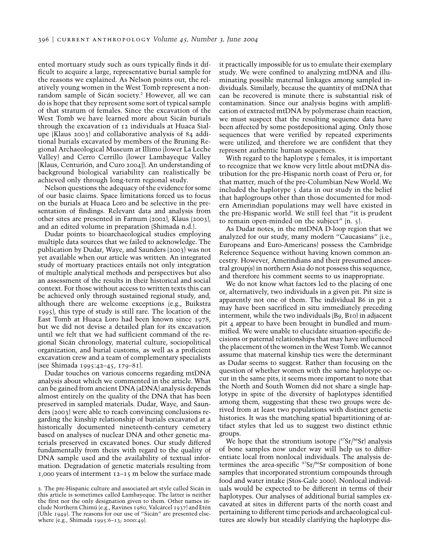ented mortuary study such as ours typically finds it difficult to acquire a large, representative burial sample for the reasons we explained. As Nelson points out, the relatively young women in the West Tomb represent a nonrandom sample of Sicán society.<sup>2</sup> However, all we can do is hope that they represent some sort of typical sample of that stratum of females. Since the excavation of the West Tomb we have learned more about Sicán burials through the excavation of 12 individuals at Huaca Sialupe (Klaus 2003) and collaborative analysis of 84 additional burials excavated by members of the Bruning Regional Archaeological Museum at Illimo (lower La Leche Valley) and Cerro Cerrillo (lower Lambayeque Valley [Klaus, Centurión, and Curo 2004]]. An understanding of background biological variability can realistically be achieved only through long-term regional study.

Nelson questions the adequacy of the evidence for some of our basic claims. Space limitations forced us to focus on the burials at Huaca Loro and be selective in the presentation of findings. Relevant data and analysis from other sites are presented in Farnum (2002), Klaus (2003), and an edited volume in preparation (Shimada n.d.).

Dudar points to bioarchaeological studies employing multiple data sources that we failed to acknowledge. The publication by Dudar, Waye, and Saunders (2003) was not yet available when our article was written. An integrated study of mortuary practices entails not only integration of multiple analytical methods and perspectives but also an assessment of the results in their historical and social context. For those without access to written texts this can be achieved only through sustained regional study, and, although there are welcome exceptions (e.g., Buikstra 1995), this type of study is still rare. The location of the East Tomb at Huaca Loro had been known since 1978, but we did not devise a detailed plan for its excavation until we felt that we had sufficient command of the regional Sicán chronology, material culture, sociopolitical organization, and burial customs, as well as a proficient excavation crew and a team of complementary specialists (see Shimada 1995:42–45, 179–81).

Dudar touches on various concerns regarding mtDNA analysis about which we commented in the article. What can be gained from ancient DNA (aDNA) analysis depends almost entirely on the quality of the DNA that has been preserved in sampled materials. Dudar, Waye, and Saunders (2003) were able to reach convincing conclusions regarding the kinship relationship of burials excavated at a historically documented nineteenth-century cemetery based on analyses of nuclear DNA and other genetic materials preserved in excavated bones. Our study differed fundamentally from theirs with regard to the quality of DNA sample used and the availability of textual information. Degradation of genetic materials resulting from 1,000 years of interment 12–15 m below the surface made it practically impossible for us to emulate their exemplary study. We were confined to analyzing mtDNA and illuminating possible maternal linkages among sampled individuals. Similarly, because the quantity of mtDNA that can be recovered is minute there is substantial risk of contamination. Since our analysis begins with amplification of extracted mtDNA by polymerase chain reaction, we must suspect that the resulting sequence data have been affected by some postdepositional aging. Only those sequences that were verified by repeated experiments were utilized, and therefore we are confident that they represent authentic human sequences.

With regard to the haplotype  $5$  females, it is important to recognize that we know very little about mtDNA distribution for the pre-Hispanic north coast of Peru or, for that matter, much of the pre-Columbian New World. We included the haplotype 5 data in our study in the belief that haplogroups other than those documented for modern Amerindian populations may well have existed in the pre-Hispanic world. We still feel that "it is prudent to remain open-minded on the subject" (n. 5).

As Dudar notes, in the mtDNA D-loop region that we analyzed for our study, many modern "Caucasians" (i.e., Europeans and Euro-Americans) possess the Cambridge Reference Sequence without having known common ancestry. However, Amerindians and their presumed ancestral group(s) in northern Asia do not possess this sequence, and therefore his comment seems to us inappropriate.

We do not know what factors led to the placing of one or, alternatively, two individuals in a given pit. Pit size is apparently not one of them. The individual B6 in pit 2 may have been sacrificed in situ immediately preceding interment, while the two individuals (B9, B10) in adjacent pit 4 appear to have been brought in bundled and mummified. We were unable to elucidate situation-specific decisions or paternal relationships that may have influenced the placement of the women in the West Tomb. We cannot assume that maternal kinship ties were the determinant as Dudar seems to suggest. Rather than focusing on the question of whether women with the same haplotype occur in the same pits, it seems more important to note that the North and South Women did not share a single haplotype in spite of the diversity of haplotypes identified among them, suggesting that these two groups were derived from at least two populations with distinct genetic histories. It was the matching spatial bipartitioning of artifact styles that led us to suggest two distinct ethnic groups.

We hope that the strontium isotope  $\binom{87}{5}r/86$ Sr) analysis of bone samples now under way will help us to differentiate local from nonlocal individuals. The analysis determines the area-specific  $87Sr/86Sr$  composition of bone samples that incorporated strontium compounds through food and water intake (Stos-Gale 2000). Nonlocal individuals would be expected to be different in terms of their haplotypes. Our analyses of additional burial samples excavated at sites in different parts of the north coast and pertaining to different time periods and archaeological cultures are slowly but steadily clarifying the haplotype dis-

<sup>2.</sup> The pre-Hispanic culture and associated art style called Sicán in this article is sometimes called Lambayeque. The latter is neither the first nor the only designation given to them. Other names include Northern Chimú (e.g., Ravines 1980, Valcárcel 1937) and Etén (Uhle 1949). The reasons for our use of "Sicán" are presented elsewhere (e.g., Shimada 1995:6–13; 2000:49).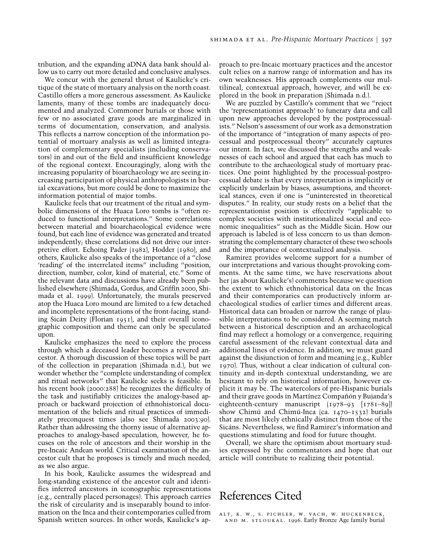tribution, and the expanding aDNA data bank should allow us to carry out more detailed and conclusive analyses.

We concur with the general thrust of Kaulicke's critique of the state of mortuary analysis on the north coast. Castillo offers a more generous assessment. As Kaulicke laments, many of these tombs are inadequately documented and analyzed. Commoner burials or those with few or no associated grave goods are marginalized in terms of documentation, conservation, and analysis. This reflects a narrow conception of the information potential of mortuary analysis as well as limited integration of complementary specialists (including conservators) in and out of the field and insufficient knowledge of the regional context. Encouragingly, along with the increasing popularity of bioarchaeology we are seeing increasing participation of physical anthropologists in burial excavations, but more could be done to maximize the information potential of major tombs.

Kaulicke feels that our treatment of the ritual and symbolic dimensions of the Huaca Loro tombs is "often reduced to functional interpretations." Some correlations between material and bioarchaeological evidence were found, but each line of evidence was generated and treated independently; these correlations did not drive our interpretive effort. Echoing Pader (1982), Hodder (1980), and others, Kaulicke also speaks of the importance of a "close 'reading' of the interrelated items" including "position, direction, number, color, kind of material, etc." Some of the relevant data and discussions have already been published elsewhere (Shimada, Gordus, and Griffin 2000, Shimada et al. 1999). Unfortunately, the murals preserved atop the Huaca Loro mound are limited to a few detached and incomplete representations of the front-facing, standing Sicán Deity (Florian 1951), and their overall iconographic composition and theme can only be speculated upon.

Kaulicke emphasizes the need to explore the process through which a deceased leader becomes a revered ancestor. A thorough discussion of these topics will be part of the collection in preparation (Shimada n.d.), but we wonder whether the "complete understanding of complex and ritual networks" that Kaulicke seeks is feasible. In his recent book (2000:288) he recognizes the difficulty of the task and justifiably criticizes the analogy-based approach or backward projection of ethnohistorical documentation of the beliefs and ritual practices of immediately preconquest times (also see Shimada 2003:90). Rather than addressing the thorny issue of alternative approaches to analogy-based speculation, however, he focuses on the role of ancestors and their worship in the pre-Incaic Andean world. Critical examination of the ancestor cult that he proposes is timely and much needed, as we also argue.

In his book, Kaulicke assumes the widespread and long-standing existence of the ancestor cult and identifies inferred ancestors in iconographic representations (e.g., centrally placed personages). This approach carries the risk of circularity and is inseparably bound to information on the Inca and their contemporaries culled from Spanish written sources. In other words, Kaulicke's approach to pre-Incaic mortuary practices and the ancestor cult relies on a narrow range of information and has its own weaknesses. His approach complements our multilineal, contextual approach, however, and will be explored in the book in preparation (Shimada n.d.).

We are puzzled by Castillo's comment that we "reject the 'representationist approach' to funerary data and call upon new approaches developed by the postprocessualists." Nelson's assessment of our work as a demonstration of the importance of "integration of many aspects of processual and postprocessual theory" accurately captures our intent. In fact, we discussed the strengths and weaknesses of each school and argued that each has much to contribute to the archaeological study of mortuary practices. One point highlighted by the processual-postprocessual debate is that every interpretation is implicitly or explicitly underlain by biases, assumptions, and theoretical stances, even if one is "uninterested in theoretical disputes." In reality, our study rests on a belief that the representationist position is effectively "applicable to complex societies with institutionalized social and economic inequalities" such as the Middle Sicán. How our approach is labeled is of less concern to us than demonstrating the complementary character of these two schools and the importance of contextualized analysis.

Ramirez provides welcome support for a number of our interpretations and various thought-provoking comments. At the same time, we have reservations about her (as about Kaulicke's) comments because we question the extent to which ethnohistorical data on the Incas and their contemporaries can productively inform archaeological studies of earlier times and different areas. Historical data can broaden or narrow the range of plausible interpretations to be considered. A seeming match between a historical description and an archaeological find may reflect a homology or a convergence, requiring careful assessment of the relevant contextual data and additional lines of evidence. In addition, we must guard against the disjunction of form and meaning (e.g., Kubler 1970). Thus, without a clear indication of cultural continuity and in-depth contextual understanding, we are hesitant to rely on historical information, however explicit it may be. The watercolors of pre-Hispanic burials and their grave goods in Martínez Compañón y Bujanda's eighteenth-century manuscript (1978–93 [1781–89]) show Chimú and Chimú-Inca (ca. 1470–1532) burials that are most likely ethnically distinct from those of the Sicáns. Nevertheless, we find Ramirez's information and questions stimulating and food for future thought.

Overall, we share the optimism about mortuary studies expressed by the commentators and hope that our article will contribute to realizing their potential.

## References Cited

alt, k. w., s. pichler, w. vach, w. huckenbeck, and m. stloukal. 1996. Early Bronze Age family burial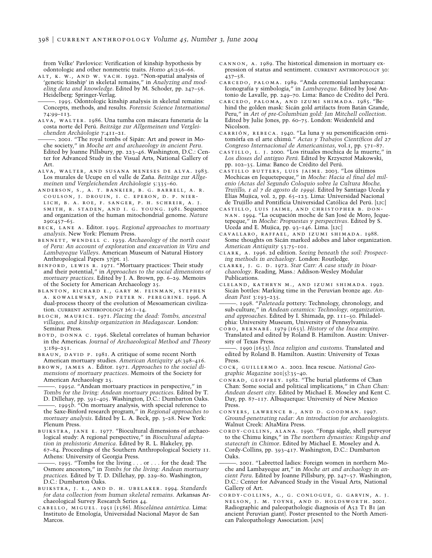from Velke' Pavlovice: Verification of kinship hypothesis by odontologic and other nonmetric traits. *Homo* 46:256–66.

- alt, k. w., and w. vach. 1992. "Non-spatial analysis of 'genetic kinship' in skeletal remains," in *Analyzing and modeling data and knowledge*. Edited by M. Schoder, pp. 247–56. Heidelberg: Springer-Verlag.
- ———. 1995. Odontologic kinship analysis in skeletal remains: Concepts, methods, and results. *Forensic Science International* 74:99–113.
- ALVA, WALTER. 1986. Una tumba con máscara funeraria de la costa norte del Perú. Beiträge zur Allgemeinen und Verglei*chenden Archa¨ologie* 7:411–21.
- ———. 2001. "The royal tombs of Sipa´n: Art and power in Moche society," in *Moche art and archaeology in ancient Peru*. Edited by Joanne Pillsbury, pp. 223–46. Washington, D.C.: Center for Advanced Study in the Visual Arts, National Gallery of Art.
- alva, walter, and susana meneses de alva. 1983. Los murales de Ucupe en el valle de Zaña. Beiträge zur Allge*meinen und Vergleichenden Archa¨ologie* 5:335–60.
- anderson, s., a. t. bankier, b. g. barrell, a. r. coulson, j. drouin, i. c. eperon, d. p. nierlich, b. a. roe, f. sanger, p. h. schreir, a. j. smith, r. staden, and i. g. young. 1981. Sequence and organization of the human mitochondrial genome. *Nature* 290:457–65.
- beck, lane a. Editor. 1995. *Regional approaches to mortuary analysis*. New York: Plenum Press.
- bennett, wendell c. 1939. *Archaeology of the north coast of Peru: An account of exploration and excavation in Viru and Lambayeque Valleys*. American Museum of Natural History Anthropological Papers 37(pt. 1).
- binford, lewis r. 1971. "Mortuary practices: Their study and their potential," in *Approaches to the social dimensions of mortuary practices*. Edited by J. A. Brown, pp. 6–29. Memoirs of the Society for American Archaeology 25.
- blanton, richard e., gary m. feinman, stephen a. kowalewsky, and peter n. peregrine. 1996. A dual-process theory of the evolution of Mesoamerican civilization. CURRENT ANTHROPOLOGY 26:1-14.
- bloch, maurice. 1971. *Placing the dead: Tombs, ancestral villages, and kinship organization in Madagascar*. London: Seminar Press.
- boyd, donna c. 1996. Skeletal correlates of human behavior in the Americas. *Journal of Archaeological Method and Theory* 3:189–251.
- braun, david p. 1981. A critique of some recent North American mortuary studies. *American Antiquity* 46:398–416.
- brown, james a. Editor. 1971. *Approaches to the social dimensions of mortuary practices*. Memoirs of the Society for American Archaeology 25.
- ———. 1995*a*. "Andean mortuary practices in perspective," in *Tombs for the living: Andean mortuary practices*. Edited by T.
- D. Dillehay, pp. 391–405. Washington, D.C.: Dumbarton Oaks. 1995*b*. "On mortuary analysis, with special reference to the Saxe-Binford research program," in *Regional approaches to mortuary analysis*. Edited by L. A. Beck, pp. 3–28. New York: Plenum Press.
- buikstra, jane e. 1977. "Biocultural dimensions of archaeological study: A regional perspective," in *Biocultural adaptation in prehistoric America*. Edited by R. L. Blakeley, pp. 67–84. Proceedings of the Southern Anthropological Society 11. Athens: University of Georgia Press.
	- ———. 1995. "Tombs for the living . . . or . . . for the dead: The Osmore ancestors," in *Tombs for the living: Andean mortuary practices.* Edited by T. D. Dillehay, pp. 229–80. Washington, D.C.: Dumbarton Oaks.
- buikstra, j. e., and d. h. ubelaker. 1994. *Standards for data collection from human skeletal remains*. Arkansas Archaeological Survey Research Series 44.
- cabello, miguel. 1951 (1586). *Miscela´nea anta´rtica*. Lima: Instituto de Etnología, Universidad Nacional Mayor de San Marcos.
- cannon, a. 1989. The historical dimension in mortuary expression of status and sentiment. CURRENT ANTHROPOLOGY 30: 437–58.
- carcedo, paloma. 1989. "Anda ceremonial lambayecana: Iconografía y simbología," in *Lambayeque*. Edited by José Antonio de Lavalle, pp. 249-70. Lima: Banco de Crédito del Perú.
- carcedo, paloma, and izumi shimada. 1985. "Behind the golden mask: Sicán gold artifacts from Batán Grande, Peru," in *Art of pre-Columbian gold: Jan Mitchell collection*. Edited by Julie Jones, pp. 60–75. London: Weidenfeld and Nicolson.
- CARRIÓN, REBECA. 1940. "La luna y su personificación ornitomórfa en el arte chimú." Actas y Trabajos Científicos del 27 *Congreso Internacional de Americanistas*, vol.1, pp. 571–87.
- castillo, l. j. 2000. "Los rituales mochica de la muerte," in *Los dioses del antiguo Peru´ .* Edited by Krzysztof Makowski, pp. 102-35. Lima: Banco de Crédito del Perú.
- CASTILLO BUTTERS, LUIS JAIME. 2003. "Los últimos Mochicas en Jequetepeque," in *Moche: Hacia el final del milenio (Actas del Segundo Coloquio sobre la Cultura Moche, Trujillo,* <sup>1</sup> *al* <sup>7</sup> *de agosto de* <sup>1999</sup>*)*. Edited by Santiago Uceda y Elías Mujica, vol. 2, pp. 65–123. Lima: Universidad Nacional de Trujillo and Pontificia Universidad Católica del Perú. [LJC]
- castillo, luis jaime, and christopher b. don-NAN. 1994. "La ocupación moche de San José de Moro, Jequetepeque," in *Moche: Propuestas y perspectivas*. Edited by S. Uceda and E. Mujica, pp. 93-146. Lima. [LJC]
- cavallaro, raffael, and izumi shimada. 1988. Some thoughts on Sicán marked adobes and labor organization. *American Antiquity* 53:75–101.
- clark, a. 1996. 2d edition. *Seeing beneath the soil: Prospecting methods in archaelogy*. London: Routledge.
- clarke, j. g. d. 1972. *Star Carr: A case study in bioarchaeology*. Reading, Mass.: Addison-Wesley Modular Publications.
- cleland, kathryn m., and izumi shimada. 1992. Sicán bottles: Marking time in the Peruvian bronze age. An*dean Past* 3:193–235.
- ———. 1998. "*Paleteada* pottery: Technology, chronology, and sub-culture," in *Andean ceramics: Technology, organization, and approaches*. Edited by I. Shimada, pp. 111–50. Philadelphia: University Museum, University of Pennsylvania.
- cobo, bernabe´ . 1979 (1653). *History of the Inca empire*. Translated and edited by Roland B. Hamilton. Austin: University of Texas Press.
- ———. 1990 (1653). *Inca religion and customs*. Translated and edited by Roland B. Hamilton. Austin: University of Texas Press.
- cock, guillermo a. 2002. Inca rescue. *National Geographic Magazine* 201(5):35–40.
- conrad, geoffrey. 1982. "The burial platforms of Chan Chan: Some social and political implications," in *Chan Chan: Andean desert city*. Edited by Michael E. Moseley and Kent C. Day, pp. 87–117. Albuquerque: University of New Mexico Press.
- conyers, lawrence b., and d. goodman. 1997. *Ground-penetrating radar: An introduction for archaeologists*. Walnut Creek: AltaMira Press.
- cordy-collins, alana. 1990. "Fonga sigde, shell purveyor to the Chimu kings," in *The northern dynasties: Kingship and statecraft in Chimor*. Edited by Michael E. Moseley and A. Cordy-Collins, pp. 393–417. Washington, D.C.: Dumbarton Oaks.
- -. 2001. "Labretted ladies: Foreign women in northern Moche and Lambayeque art," in *Moche art and archaelogy in ancient Peru*. Edited by Joanne Pillsbury, pp. 247–57. Washington, D.C.: Center for Advanced Study in the Visual Arts, National Gallery of Art.
- cordy-collins, a., g. conlogue, g. garvin, a. j. nelson, j. m. toyne, and d. holdsworth. 2001. Radiographic and paleopathologic diagnosis of A52 T1 B1 (an ancient Peruvian giant). Poster presented to the North American Paleopathology Association. [ajn]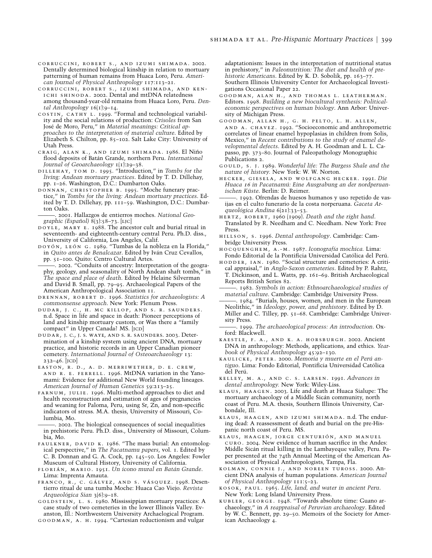- corruccini, robert s., and izumi shimada. 2002. Dentally determined biological kinship in relation to mortuary patterning of human remains from Huaca Loro, Peru. *American Journal of Physical Anthropology* 117:113–21.
- corruccini, robert s., izumi shimada, and kenichi shinoda. 2002. Dental and mtDNA relatedness among thousand-year-old remains from Huaca Loro, Peru. *Dental Anthropology* 16(1):9–14.
- COSTIN, CATHY L. 1999. "Formal and technological variability and the social relations of production: *Crisoles* from San Jose´ de Moro, Peru," in *Material meanings: Critical approaches to the interpretation of material culture*. Edited by Elizabeth S. Chilton, pp. 85–102. Salt Lake City: University of Utah Press.
- craig, alan k., and izumi shimada. 1986. El Niño flood deposits of Bata´n Grande, northern Peru. *International Journal of Geoarchaeology* 1(1):29–38.
- dillehay, tom d. 1995. "Introduction," in *Tombs for the living: Andean mortuary practices*. Edited by T. D. Dillehay, pp. 1–26. Washington, D.C.: Dumbarton Oaks.
- donnan, christopher b. 1995. "Moche funerary practice," in *Tombs for the living: Andean mortuary practices*. Edited by T. D. Dillehay, pp. 111–59. Washington, D.C.: Dumbarton Oaks.
- ———. 2001. Hallazgos de entierros moches. *National Geographic (Español)* 8(3):58–73. [LJC]
- DOYLE, MARY E. 1988. The ancestor cult and burial ritual in seventeenth- and eighteenth-century central Peru. Ph.D. diss., University of California, Los Angeles, Calif.
- DOYÓN, LEÓN G. 1989. "Tumbas de la nobleza en la Florida," in *Quito antes de Benalcazar*. Edited by Iván Cruz Cevallos, pp. 51–100. Quito: Centro Cultural Artes.
- ———. 2002. "Conduits of ancestry: Interpretation of the geography, geology, and seasonality of North Andean shaft tombs," in *The space and place of death*. Edited by Helaine Silverman and David B. Small, pp. 79–95. Archaeological Papers of the American Anthropological Association 11.
- drennan, robert d. 1996. *Statistics for archaeologists: A commonsense approach*. New York: Plenum Press.
- dudar, j. c., h. mc killop, and s. r. saunders. n.d. Space in life and space in death: Pioneer perceptions of land and kinship mortuary custom, or Was there a "family compact" in Upper Canada? MS. [JCD]
- d u d a r , j. c., j. s. waye, and s. r. saunders. 2003. Determination of a kinship system using ancient DNA, mortuary practice, and historic records in an Upper Canadian pioneer cemetery. *International Journal of Osteoarchaeology* 13:  $232-46.$  [JCD]
- easton, r. d., a. d. merriwether, d. e. crew, and r. e. ferrell. 1996. MtDNA variation in the Yanomami: Evidence for additional New World founding lineages. *American Journal of Human Genetics* 59:213–25.
- farnum, julie. 1996. Multi-method approaches to diet and health reconstruction and estimation of ages of pregnancies and weaning for Paloma, Peru, using Sr, Zn, and non-specific indicators of stress. M.A. thesis, University of Missouri, Columbia, Mo.
- -. 2002. The biological consequences of social inequalities in prehistoric Peru. Ph.D. diss., University of Missouri, Columbia, Mo.
- FAULKNER, DAVID K. 1986. "The mass burial: An entomological perspective," in *The Pacatnamu papers*, vol. 1. Edited by C. B. Donnan and G. A. Cock, pp. 145–50. Los Angeles: Fowler Museum of Cultural History, University of California.
- floria´ n, mario. 1951. *Un icono mural en Bata´n Grande*. Lima: Imprenta Amauta.
- FRANCO, R., C. GÁLVEZ, AND S. VÁSQUEZ. 1998. Desentierro ritual de una tumba Moche: Huaca Cao Viejo. *Revista Arqueolo´gica Sian* 3(6):9–18.
- goldstein, l. s. 1980. Mississippian mortuary practices: A case study of two cemeteries in the lower Illinois Valley. Evanston, Ill.: Northwestern University Archaelogical Program.
- goodman, a. h. 1994. "Cartesian reductionism and vulgar

adaptationism: Issues in the interpretation of nutritional status in prehistory," in *Paleonutrition: The diet and health of prehistoric Americans*. Edited by K. D. Sobolik, pp. 163–77. Southern Illinois University Center for Archaeological Investigations Occasional Paper 22.

- goodman, alan h., and thomas l. leatherman. Editors. 1998. *Building a new biocultural synthesis: Politicaleconomic perspectives on human biology*. Ann Arbor: University of Michigan Press.
- goodman, allan h., g. h. pelto, l. h. allen, and a. chavez. 1992. "Socioeconomic and anthropometric correlates of linear enamel hypoplasias in children from Solis, Mexico," in *Recent contributions to the study of enamel developmental defects*. Edited by A. H. Goodman and L. L. Capasso, pp. 373–80. Journal of Paleopathology Monographic Publications 2.
- gould, s. j. 1989. *Wonderful life: The Burgess Shale and the nature of history.* New York: W. W. Norton.
- hecker, giesela, and wolfgang hecker. 1991. *Die Huaca* <sup>16</sup> *in Pacatnamu´ : Eine Ausgrabung an der nordperuanischen Küste*. Berlin: D. Reimer.
- ———. 1992. Ofrendas de huesos humanos y uso repetido de vasijas en el culto funerario de la costa norperuana. *Gaceta Arqueolo´gica Andina* 6(21):33–53.
- hertz, robert, 1960 (1909). *Death and the right hand*. Translated by R. Needham and C. Needham. New York: Free Press.
- hillson, s. 1996. *Dental anthropology*. Cambridge: Cambridge University Press.
- hocquenghem, a.-m. 1987. *Iconografı´a mochica.* Lima: Fondo Editorial de la Pontificia Universidad Católica del Perú.
- hodder, ian. 1980. "Social structure and cemeteries: A critical appraisal," in *Anglo-Saxon cemeteries*. Edited by P. Rahtz, T. Dickinson, and L. Watts, pp. 161–69. British Archaeological Reports British Series 82.
- ———. 1982. *Symbols in action: Ethnoarchaeological studies of material culture*. Cambridge: Cambridge University Press.
- 1984. "Burials, houses, women, and men in the European Neolithic," in *Ideology, power, and prehistory*. Edited by D. Miller and C. Tilley, pp. 51–68. Cambridge: Cambridge University Press.
- ———. 1999. *The archaeological process: An introduction*. Oxford: Blackwell.
- kaestle, f. a., and k. a. horsburgh. 2002. Ancient DNA in anthropology: Methods, applications, and ethics. *Yearbook of Physical Anthropology* 45:92–130.
- kaulicke, peter. 2000. *Memoria y muerte en el Peru´ antiguo*. Lima: Fondo Editorial, Pontificia Universidad Cato´lica del Perú.
- kelley, m. a., and c. s. larsen. 1991. *Advances in dental anthropology.* New York: Wiley-Liss.
- klaus, haagen. 2003. Life and death at Huaca Sialupe: The mortuary archaeology of a Middle Sicán community, north coast of Peru. M.A. thesis, Southern Illinois University, Carbondale, Ill.
- klaus, haagen, and izumi shimada. n.d. The enduring dead: A reassessment of death and burial on the pre-Hispanic north coast of Peru. MS.
- KLAUS, HAAGEN, JORGE CENTURIÓN, AND MANUEL c u ro . 2004. New evidence of human sacrifice in the Andes: Middle Sicán ritual killing in the Lambayeque valley, Peru. Paper presented at the 74th Annual Meeting of the American Association of Physical Anthropologists, Tampa, Fla.
- kolman, connie j., and noreen tuross. 2000. Ancient DNA analysis of human populations. *American Journal of Physical Anthropology* 111:5–23.
- kosok, paul. 1965. *Life, land, and water in ancient Peru*. New York: Long Island University Press.
- kubler, george. 1948. "Towards absolute time: Guano archaeology," in *A reappraisal of Peruvian archaeology*. Edited by W. C. Bennett, pp. 29–50. Memoirs of the Society for American Archaeology 4.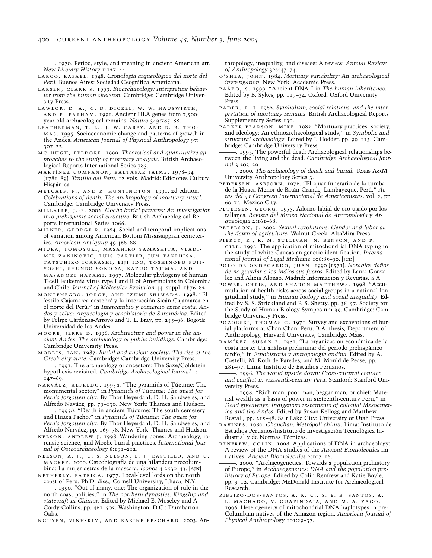———. 1970. Period, style, and meaning in ancient American art. *New Literary History* 1:127–44.

- LARCO, RAFAEL. 1948. *Cronología arqueológica del norte del Perú.* Buenos Aires: Sociedad Geográfica Americana.
- larsen, clark s. 1999. *Bioarchaeology: Interpreting behavior from the human skeleton*. Cambridge: Cambridge University Press.
- lawlor, d. a., c. d. dickel, w. w. hauswirth, and p. parham. 1991. Ancient HLA genes from 7,500 year-old archaeological remains. *Nature* 349:785–88.
- leatherman, t. l., j. w. carey, and r. b. thomas. 1995. Socioeconomic change and patterns of growth in the Andes. *American Journal of Physical Anthropology* 97: 307–22.
- mc hugh, feldore. 1999. *Theoretical and quantitative approaches to the study of mortuary analysis*. British Archaeological Reports International Series 785.
- martı´nez compan˜ o´ n, baltasar jaime. 1978–94 (1781–89). *Trujillo del Peru´* . 12 vols. Madrid: Ediciones Cultura Hispánica.
- metcalf, p., and r. huntington. 1991. 2d edition. *Celebrations of death: The anthropology of mortuary ritual*. Cambridge: Cambridge University Press.
- millaire, j.-f. 2002. *Moche burial patterns: An investigation into prehispanic social structure*. British Archaeological Reports International Series 1066.
- milner, george r. 1984. Social and temporal implications of variation among American Bottom Mississippian cemeteries. *American Antiquity* 49:468–88.
- miura, tomoyuki, masahiro yamashita, vladimir zaninovic, luis cartier, jun takehisa, tatsuhiko igarashi, eiji ido, toshinobu fujiyoshi, shunro sonoda, kazuo tajima, and masanori hayami. 1997. Molecular phylogeny of human T-cell leukemia virus type I and II of Amerindians in Colombia and Chile. *Journal of Molecular Evolution* 44 (suppl. 1):76–82.
- montenegro, jorge, and izumi shimada. 1998. "El 'estilo Cajamarca costeño' y la interacción Sicán-Cajamarca en el norte del Perú," in *Intercambio y comercio entre costa*, An*des y selva: Arqueologı´a y etnohistoria de Surame´rica*. Edited by Felipe Cárdenas-Arroyo and T. L. Bray, pp. 255–96. Bogotá: Universidad de los Andes.
- moore, jerry d. 1996. *Architecture and power in the ancient Andes: The archaeology of public buildings*. Cambridge: Cambridge University Press.
- morris, ian. 1987. *Burial and ancient society: The rise of the Greek city-state*. Cambridge: Cambridge University Press. ———. 1991. The archaeology of ancestors: The Saxe/Goldstein hypothesis revisited. *Cambridge Archaeological Journal* 1: 147–69.
- NARVÁEZ, ALFREDO. 1995*a*. "The pyramids of Túcume: The monumental sector," in *Pyramids of Túcume: The quest for Peru's forgotten city*. By Thor Heyerdahl, D. H. Sandweiss, and Alfredo Naváez, pp. 79-130. New York: Thames and Hudson. ———. 1995*b*. "Death in ancient Tu´ cume: The south cemetery and Huaca Facho," in *Pyramids of Túcume: The quest for Peru's forgotten city*. By Thor Heyerdahl, D. H. Sandweiss, and Alfredo Narváez, pp. 169–78. New York: Thames and Hudson.
- nelson, andrew j. 1998. Wandering bones: Archaeology, forensic science, and Moche burial practices. *International Journal of Osteoarchaeology* 8:191–212.
- nelson, a. j., c. s. nelson, l. j. castillo, and c. mackey. 2000. Osteobiografia de una hilandera precolumbina: La mujer detras de la mascara. *I ´conos* 4(2):30–43. [ajn]
- netherly, patrica. 1977. Local-level lords on the north coast of Peru. Ph.D. diss., Cornell University, Ithaca, N.Y. 1990. "Out of many, one: The organization of rule in the north coast polities," in *The northern dynasties: Kingship and*
- *statecraft in Chimor*. Edited by Michael E. Moseley and A. Cordy-Collins, pp. 461–505. Washington, D.C.: Dumbarton Oaks.
- nguyen, vinh-kim, and karine peschard. 2003. An-

thropology, inequality, and disease: A review. *Annual Review of Anthropology* 32:447–74.

- o'shea, john. 1984. *Mortuary variability: An archaeological investigation*. New York: Academic Press.
- p a¨ a¨ b o , s . 1999. "Ancient DNA," in *The human inheritance*. Edited by B. Sykes, pp. 119–34. Oxford: Oxford University Press.
- pader, e. j. 1982. *Symbolism, social relations, and the interpretation of mortuary remains*. British Archaeological Reports Supplementary Series 130.
- parker pearson, mike. 1982. "Mortuary practices, society, and ideology: An ethnoarchaeological study," in *Symbolic and structural archaeology*. Edited by I. Hodder, pp. 99–113. Cambridge: Cambridge University Press.
- ———. 1993. The powerful dead: Archaeological relationships between the living and the dead. *Cambridge Archaeological Journal* 3:203–29.
- ———. 2000. *The archaeology of death and burial.* Texas A&M University Anthropology Series 3.
- pedersen, asbjorn. 1976. "El ajuar funerario de la tumba de la Huaca Menor de Batán Grande, Lambayeque, Perú." Ac*tas del* <sup>41</sup> *Congreso Internacional de Americanistas*, vol. 2, pp. 60–73. Mexico City.
- petersen, georg. 1955. Adorno labial de oro usado por los tallanes. *Revista del Museo Nacional de Antropología y Arqueologı´a* 2:161–68.
- peterson, j. 2002. *Sexual revolutions: Gender and labor at the dawn of agriculture*. Walnut Creek: AltaMira Press.
- piercy, r., k. m. sullivan, n. benson, and p. GILL. 1993. The application of mitochondrial DNA typing to the study of white Caucasian genetic identification. *International Journal of Legal Medicine* 106:85–90. [JCD]
- polo de ondegardo, juan. 1990 (1571). *Notables dan˜ os de no guardar a los indios sus fueros*. Edited by Laura Gonza´ lez and Alicia Alonso. Madrid: Información y Revistas, S.A.
- power, chris, and sharon matthews. 1998. "Accumulation of health risks across social groups in a national longitudinal study," in *Human biology and social inequality*. Edited by S. S. Strickland and P. S. Shetty, pp. 36–57. Society for the Study of Human Biology Symposium 39. Cambridge: Cambridge University Press.
- pozorski, thomas g. 1971. Survey and excavations of burial platforms at Chan Chan, Peru. B.A. thesis, Department of Anthropology, Harvard University, Cambridge, Mass.
- RAMÍREZ, SUSAN E. 1981. "La organización económica de la costa norte: Un análisis preliminar del período prehispánico tardío," in *Etnohistoria y antropología andina*. Edited by A. Castelli, M. Koth de Paredes, and M. Mould de Pease, pp. 281–97. Lima: Instituto de Estudios Peruanos.
- ———. 1996. *The world upside down: Cross-cultural contact and conflict in sixteenth-century Peru*. Stanford: Stanford University Press.
- ———. 1998. "Rich man, poor man, beggar man, or chief: Material wealth as a basis of power in sixteenth-century Peru," in *Dead giveaways: Indigenous testaments of colonial Mesoamerica and the Andes*. Edited by Susan Kellogg and Matthew Restall, pp. 215–48. Salt Lake City: University of Utah Press.
- ravines. 1980. *Chanchan: Metro´poli chimu´* . Lima: Instituto de Estudios Peruanos/Instituto de Investigación Tecnológica Industrial y de Normas Técnicas.
- renfrew, colin. 1998. Applications of DNA in archaeology: A review of the DNA studies of the *Ancient Biomolecules* initiatives. *Ancient Biomolecules* 2:107–16.
- -. 2000. "Archaeogenetics: Towards a population prehistory of Europe," in *Archaeogenetics: DNA and the population prehistory of Europe*. Edited by Colin Renfrew and Katie Boyle, pp. 3–12. Cambridge: McDonald Institute for Archaeological Research.
- ribeiro-dos-santos, a. k. c., s. e. b. santos, a. l. machado, v. guapindaia, and m. a. zago. 1996. Heterogeneity of mitochondrial DNA haplotypes in pre-Columbian natives of the Amazon region. *American Journal of Physical Anthropology* 101:29–37.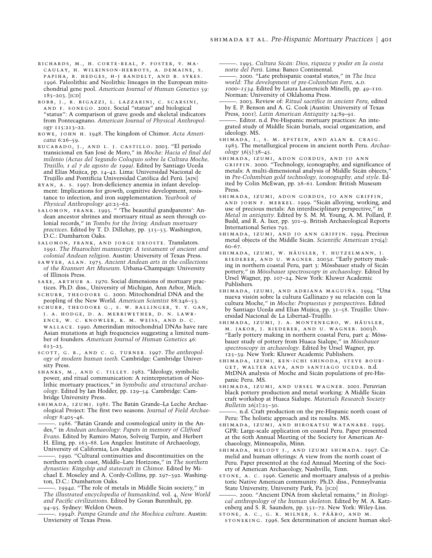- richards, m., h. corte-real, p. foster, v. macaulay, h. wilkinson-herbots, a. demaine, s. papiha, r. hedges, h-j bandelt, and b. sykes. 1996. Paleolithic and Neolithic lineages in the European mitochondrial gene pool. *American Journal of Human Genetics* 59:  $185-203.$  [JCD]
- robb, j., r. bigazzi, l. lazzarini, c. scarsini, and f. sonego. 2001. Social "status" and biological "status": A comparison of grave goods and skeletal indicators from Pontecagnano. *American Journal of Physical Anthropology* 115:213–22.
- rowe, john h. 1948. The kingdom of Chimor. *Acta Americana* 6:26–59.
- rucabado, j., and l. j. castillo. 2003. "El perı´odo transicional en San Jose´ de Moro," in *Moche: Hacia el final del milenio (Actas del Segundo Coloquio sobre la Cultura Moche, Trujillo,* <sup>1</sup> *al* <sup>7</sup> *de agosto de* <sup>1999</sup>*)*. Edited by Santiago Uceda and Elías Mujica, pp. 14–42. Lima: Universidad Nacional de Trujillo and Pontificia Universidad Católica del Perú. [AJN]
- ryan, a. s. 1997. Iron-deficiency anemia in infant development: Implications for growth, cognitive development, resistance to infection, and iron supplementation. *Yearbook of Physical Anthropology* 40:25–62.
- salomon, frank. 1995. " 'The beautiful grandparents': Andean ancestor shrines and mortuary ritual as seen through colonial records," in *Tombs for the living: Andean mortuary practices*. Edited by T. D. Dillehay, pp. 315–53. Washington, D.C.: Dumbarton Oaks.
- salomon, frank, and jorge urioste. Translators. 1991. *The Huarochirı´ manuscript: A testament of ancient and colonial Andean religion*. Austin: University of Texas Press.
- sawyer, alan. 1975. *Ancient Andean arts in the collections of the Krannert Art Museum*. Urbana-Champaign: University of Illinois Press.
- saxe, arthur a. 1970. Social dimensions of mortuary practices. Ph.D. diss., University of Michigan, Ann Arbor, Mich.

schurr, theodore g. 2000. Mitochondrial DNA and the peopling of the New World. *American Scientist* 88:246–53.

- schurr, theodore g., s. w. ballinger, y. y. gan, j. a. hodge, d. a. merriwether, d. n. lawrence, w. c. knowler, k. m. weiss, and d. c. wallace. 1990. Amerindian mitochondrial DNAs have rare Asian mutations at high frequencies suggesting a limited number of founders. *American Journal of Human Genetics* 46: 613–23.
- scott, g. r., and c. g. turner. 1997. *The anthropology of modern human teeth*. Cambridge: Cambridge University Press.
- shanks, m., and c. tilley. 1982. "Ideology, symbolic power, and ritual communication: A reinterpretation of Neolithic mortuary practices," in *Symbolic and structural archaeology*. Edited by Ian Hodder, pp. 129–54. Cambridge: Cambridge University Press.
- SHIMADA, IZUMI. 1981. The Batán Grande–La Leche Archaeological Project: The first two seasons. *Journal of Field Archaeology* 8:405–46.
- . 1986. "Batán Grande and cosmological unity in the Andes," in *Andean archaeology: Papers in memory of Clifford Evans*. Edited by Ramiro Matos, Solveig Turpin, and Herbert H. Eling, pp. 163–88. Los Angeles: Institute of Archaeology, University of California, Los Angeles.
- ———. 1990. "Cultural continuities and discontinuities on the northern north coast, Middle–Late Horizons," in *The northern dynasties: Kingship and statecraft in Chimor*. Edited by Michael E. Moseley and A. Cordy-Collins, pp. 297–392. Washington, D.C.: Dumbarton Oaks.
- 1994a. "The role of metals in Middle Sicán society," in *The illustrated encyclopedia of humankind,* vol. 4, *New World and Pacific civilizations.* Edited by Goran Burenhult, pp. 94–95. Sydney: Weldon Owen.
- ———. 1994*b*. *Pampa Grande and the Mochica culture*. Austin: Unviersity of Texas Press.

———. 1995. *Cultura Sica´n: Dios, riqueza y poder en la costa norte del Peru´* . Lima: Banco Continental.

- ———. 2000. "Late prehispanic coastal states," in *The Inca world: The development of pre-Columbian Peru, A.D.* <sup>1000</sup>–1534. Edited by Laura Laurencich Minelli, pp. 49–110. Norman: University of Oklahoma Press.
- ———. 2003. Review of: *Ritual sacrifice in ancient Peru*, edited by E. P. Benson and A. G. Cook (Austin: University of Texas Press, 2001). *Latin American Antiquity* 14:89–91.
- . Editor. n.d. Pre-Hispanic mortuary practices: An integrated study of Middle Sicán burials, social organization, and ideology. MS.
- shimada, i., s. m. epstein, and alan k. craig. 1983. The metallurgical process in ancient north Peru. *Archaeology* 36(5):38–45.
- shimada, izumi, adon gordus, and jo ann GRIFFIN. 2000. "Technology, iconography, and significance of metals: A multi-dimensional analysis of Middle Sicán objects,' in *Pre-Columbian gold technology, iconography, and style*. Edited by Colin McEwan, pp. 28–61. London: British Museum Press.
- shimada, izumi, adon gordus, jo ann griffin, AND JOHN F. MERKEL. 1999. "Sicán alloying, working, and use of precious metals: An interdisciplinary perspective," in *Metal in antiquity*. Edited by S. M. M. Young, A. M. Pollard, P. Budd, and R. A. Ixer, pp. 301–9. British Archaeological Reports International Series 792.
- shimada, izumi, and jo ann griffin. 1994. Precious metal objects of the Middle Sicán. *Scientific American* 270(4): 60–67.
- SHIMADA, IZUMI, W. HÄUSLER, T. HUTZELMANN, J. riederer, and u. wagner. 2003*a*. "Early pottery making in northern coastal Peru, part 3: Mössbauer study of Sicán pottery," in *Mössbauer spectroscopy in archaeology*. Edited by Ursel Wagner, pp. 107–24. New York: Kluwer Academic Publishers.
- shimada, izumi, and adriana maguiña. 1994. "Una nueva visión sobre la cultura Gallinazo y su relación con la cultura Moche," in *Moche: Propuestas y perspectives*. Edited by Santiago Uceda and Elias Mujica, pp. 31–58. Trujillo: Universidad Nacional de La Libertad–Trujillo.
- SHIMADA, IZUMI, J. A. MONTENEGRO, W. HÄUSLER, m. jakob, j. riederer, and u. wagner. 2003*b*. "Early pottery making in northern coastal Peru, part 4: Mössbauer study of pottery from Huaca Sialupe," in *Mössbauer spectroscopy in archaeology*. Edited by Ursel Wagner, pp. 125–39. New York: Kluwer Academic Publishers.
- shimada, izumi, ken-ichi shinoda, steve bourget, walter alva, and santiago uceda. n.d. MtDNA analysis of Moche and Sicán populations of pre-Hispanic Peru. MS.
- shimada, izumi, and ursel wagner. 2001. Peruvian black pottery production and metal working: A Middle Sicán craft workshop at Huaca Sialupe. *Materials Research Society Bulletin* 26(1):25–30.
- ———. n.d. Craft production on the pre-Hispanic north coast of Peru: The holistic approach and its results. MS.
- shimada, izumi, and hirokatsu watanabe. 1995. GPR: Large-scale application on coastal Peru. Paper presented at the 60th Annual Meeting of the Society for American Archaeology, Minneapolis, Minn.
- shimada, melody j., and izumi shimada. 1997. Camelid and human offerings: A view from the north coast of Peru. Paper presented at the 62d Annual Meeting of the Society of American Archaeology, Nashville, Tenn.
- stone, a. c. 1996. Genetic and mortuary analysis of a prehistoric Native American community. Ph.D. diss., Pennsylvania State University, University Park, Pa. [JCD]
- ———. 2000. "Ancient DNA from skeletal remains," in *Biological anthropology of the human skeleton*. Edited by M. A. Katzenberg and S. R. Saunders, pp. 351–72. New York: Wiley-Liss.
- STONE, A. C., G. R. MILNER, S. PÄÄBO, AND M. stoneking. 1996. Sex determination of ancient human skel-